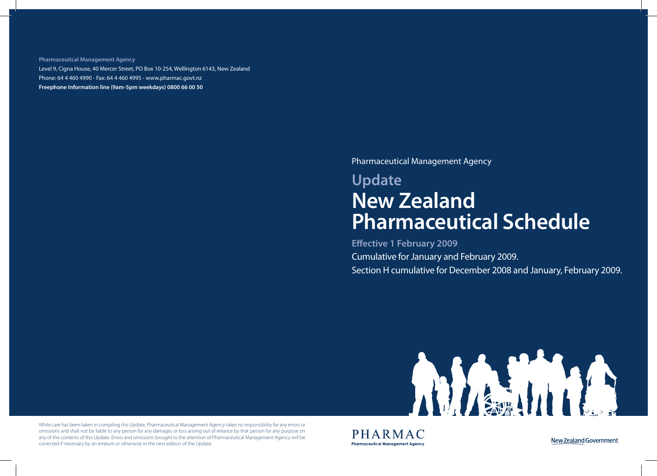**Pharmaceutical Management Agency** Level 9, Cigna House, 40 Mercer Street, PO Box 10-254, Wellington 6143, New Zealand Phone: 64 4 460 4990 - Fax: 64 4 460 4995 - www.pharmac.govt.nz **Freephone Information line (9am-5pm weekdays) 0800 66 00 50**

Pharmaceutical Management Agency

# **Update New Zealand Pharmaceutical Schedule**

**Effective 1 February 2009**  Cumulative for January and February 2009. Section H cumulative for December 2008 and January, February 2009.



While care has been taken in compiling this Update, Pharmaceutical Management Agency takes no responsibility for any errors or omissions and shall not be liable to any person for any damages or loss arising out of reliance by that person for any purpose on any of the contents of this Update. Errors and omissions brought to the attention of Pharmaceutical Management Agency will be corrected if necessary by an erratum or otherwise in the next edition of the Update.

PHARMAC **Pharmaceutical Management Agency**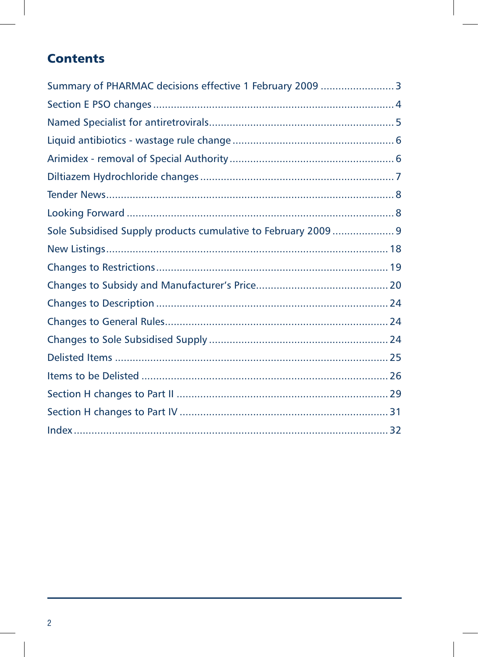### **Contents**

| Summary of PHARMAC decisions effective 1 February 2009  3      |  |
|----------------------------------------------------------------|--|
|                                                                |  |
|                                                                |  |
|                                                                |  |
|                                                                |  |
|                                                                |  |
|                                                                |  |
|                                                                |  |
| Sole Subsidised Supply products cumulative to February 2009  9 |  |
|                                                                |  |
|                                                                |  |
|                                                                |  |
|                                                                |  |
|                                                                |  |
|                                                                |  |
|                                                                |  |
|                                                                |  |
|                                                                |  |
|                                                                |  |
|                                                                |  |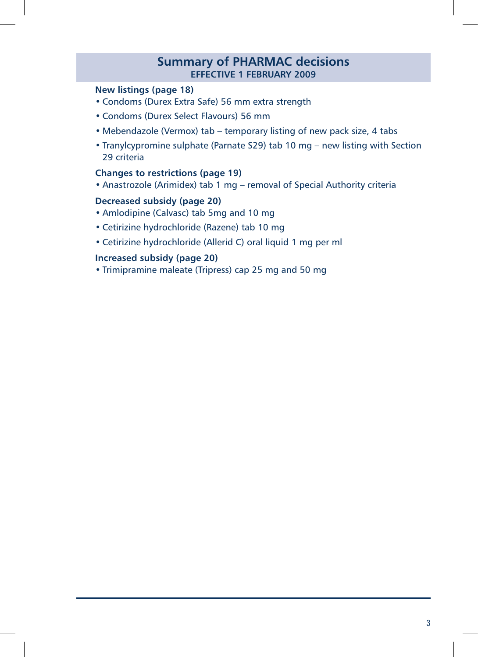### **Summary of PHARMAC decisions effective 1 FEBRUARY 2009**

#### **New listings (page 18)**

- Condoms (Durex Extra Safe) 56 mm extra strength
- Condoms (Durex Select Flavours) 56 mm
- Mebendazole (Vermox) tab temporary listing of new pack size, 4 tabs
- Tranylcypromine sulphate (Parnate S29) tab 10 mg new listing with Section 29 criteria

#### **Changes to restrictions (page 19)**

• Anastrozole (Arimidex) tab 1 mg – removal of Special Authority criteria

#### **Decreased subsidy (page 20)**

- Amlodipine (Calvasc) tab 5mg and 10 mg
- Cetirizine hydrochloride (Razene) tab 10 mg
- Cetirizine hydrochloride (Allerid C) oral liquid 1 mg per ml

### **Increased subsidy (page 20)**

• Trimipramine maleate (Tripress) cap 25 mg and 50 mg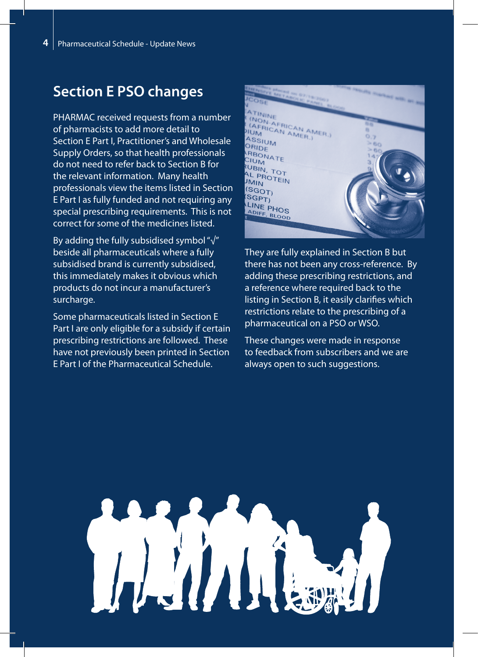# **Section E PSO changes**

PHARMAC received requests from a number of pharmacists to add more detail to Section E Part I, Practitioner's and Wholesale Supply Orders, so that health professionals do not need to refer back to Section B for the relevant information. Many health professionals view the items listed in Section E Part I as fully funded and not requiring any special prescribing requirements. This is not correct for some of the medicines listed.

By adding the fully subsidised symbol "√" beside all pharmaceuticals where a fully subsidised brand is currently subsidised, this immediately makes it obvious which products do not incur a manufacturer's surcharge.

Some pharmaceuticals listed in Section E Part I are only eligible for a subsidy if certain prescribing restrictions are followed. These have not previously been printed in Section E Part I of the Pharmaceutical Schedule.



They are fully explained in Section B but there has not been any cross-reference. By adding these prescribing restrictions, and a reference where required back to the listing in Section B, it easily clarifies which restrictions relate to the prescribing of a pharmaceutical on a PSO or WSO.

These changes were made in response to feedback from subscribers and we are always open to such suggestions.

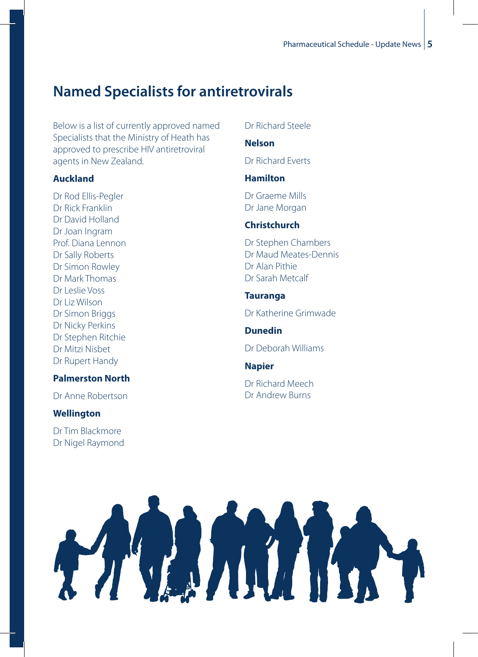# **Named Specialists for antiretrovirals**

Below is a list of currently approved named Specialists that the Ministry of Heath has approved to prescribe HIV antiretroviral agents in New Zealand.

### **Auckland**

Dr Rod Ellis-Pegler Dr Rick Franklin Dr David Holland Dr Joan Ingram Prof. Diana Lennon Dr Sally Roberts Dr Simon Rowley Dr Mark Thomas Dr Leslie Voss Dr Liz Wilson Dr Simon Briggs Dr Nicky Perkins Dr Stephen Ritchie Dr Mitzi Nisbet Dr Rupert Handy

### **Palmerston North**

Dr Anne Robertson

### **Wellington**

Dr Tim Blackmore Dr Nigel Raymond

### Dr Richard Steele

### **Nelson**

Dr Richard Everts

### **Hamilton**

Dr Graeme Mills Dr Jane Morgan

### **Christchurch**

Dr Stephen Chambers Dr Maud Meates-Dennis Dr Alan Pithie Dr Sarah Metcalf

### **Tauranga**

Dr Katherine Grimwade

**Dunedin**

Dr Deborah Williams

### **Napier**

Dr Richard Meech Dr Andrew Burns

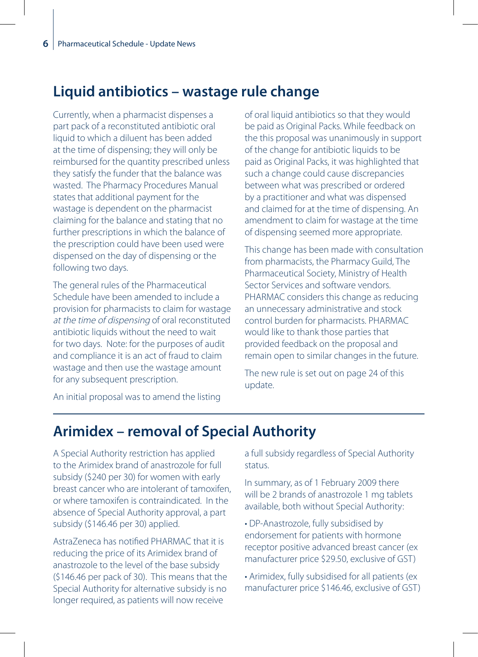### **Liquid antibiotics – wastage rule change**

Currently, when a pharmacist dispenses a part pack of a reconstituted antibiotic oral liquid to which a diluent has been added at the time of dispensing; they will only be reimbursed for the quantity prescribed unless they satisfy the funder that the balance was wasted. The Pharmacy Procedures Manual states that additional payment for the wastage is dependent on the pharmacist claiming for the balance and stating that no further prescriptions in which the balance of the prescription could have been used were dispensed on the day of dispensing or the following two days.

The general rules of the Pharmaceutical Schedule have been amended to include a provision for pharmacists to claim for wastage at the time of dispensing of oral reconstituted antibiotic liquids without the need to wait for two days. Note: for the purposes of audit and compliance it is an act of fraud to claim wastage and then use the wastage amount for any subsequent prescription.

of oral liquid antibiotics so that they would be paid as Original Packs. While feedback on the this proposal was unanimously in support of the change for antibiotic liquids to be paid as Original Packs, it was highlighted that such a change could cause discrepancies between what was prescribed or ordered by a practitioner and what was dispensed and claimed for at the time of dispensing. An amendment to claim for wastage at the time of dispensing seemed more appropriate.

This change has been made with consultation from pharmacists, the Pharmacy Guild, The Pharmaceutical Society, Ministry of Health Sector Services and software vendors. PHARMAC considers this change as reducing an unnecessary administrative and stock control burden for pharmacists. PHARMAC would like to thank those parties that provided feedback on the proposal and remain open to similar changes in the future.

The new rule is set out on page 24 of this update.

An initial proposal was to amend the listing

### **Arimidex – removal of Special Authority**

A Special Authority restriction has applied to the Arimidex brand of anastrozole for full subsidy (\$240 per 30) for women with early breast cancer who are intolerant of tamoxifen, or where tamoxifen is contraindicated. In the absence of Special Authority approval, a part subsidy (\$146.46 per 30) applied.

AstraZeneca has notified PHARMAC that it is reducing the price of its Arimidex brand of anastrozole to the level of the base subsidy (\$146.46 per pack of 30). This means that the Special Authority for alternative subsidy is no longer required, as patients will now receive

a full subsidy regardless of Special Authority status.

In summary, as of 1 February 2009 there will be 2 brands of anastrozole 1 mg tablets available, both without Special Authority:

- DP-Anastrozole, fully subsidised by endorsement for patients with hormone receptor positive advanced breast cancer (ex manufacturer price \$29.50, exclusive of GST)
- Arimidex, fully subsidised for all patients (ex manufacturer price \$146.46, exclusive of GST)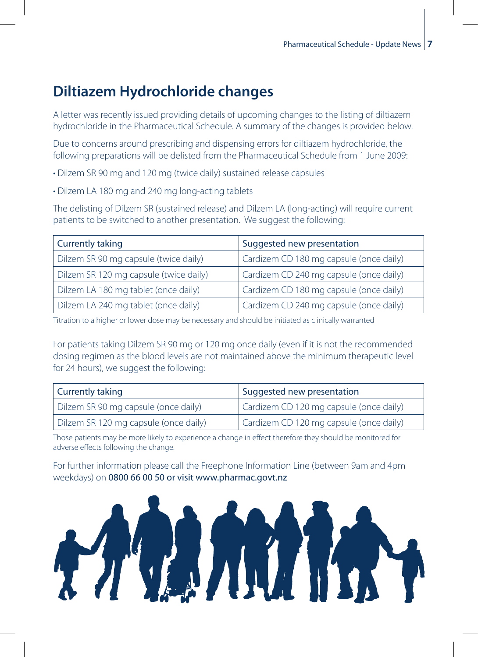# **Diltiazem Hydrochloride changes**

A letter was recently issued providing details of upcoming changes to the listing of diltiazem hydrochloride in the Pharmaceutical Schedule. A summary of the changes is provided below.

Due to concerns around prescribing and dispensing errors for diltiazem hydrochloride, the following preparations will be delisted from the Pharmaceutical Schedule from 1 June 2009:

- Dilzem SR 90 mg and 120 mg (twice daily) sustained release capsules
- Dilzem LA 180 mg and 240 mg long-acting tablets

The delisting of Dilzem SR (sustained release) and Dilzem LA (long-acting) will require current patients to be switched to another presentation. We suggest the following:

| <b>Currently taking</b>                | Suggested new presentation              |
|----------------------------------------|-----------------------------------------|
| Dilzem SR 90 mg capsule (twice daily)  | Cardizem CD 180 mg capsule (once daily) |
| Dilzem SR 120 mg capsule (twice daily) | Cardizem CD 240 mg capsule (once daily) |
| Dilzem LA 180 mg tablet (once daily)   | Cardizem CD 180 mg capsule (once daily) |
| Dilzem LA 240 mg tablet (once daily)   | Cardizem CD 240 mg capsule (once daily) |

Titration to a higher or lower dose may be necessary and should be initiated as clinically warranted

For patients taking Dilzem SR 90 mg or 120 mg once daily (even if it is not the recommended dosing regimen as the blood levels are not maintained above the minimum therapeutic level for 24 hours), we suggest the following:

| <b>Currently taking</b>               | Suggested new presentation              |
|---------------------------------------|-----------------------------------------|
| Dilzem SR 90 mg capsule (once daily)  | Cardizem CD 120 mg capsule (once daily) |
| Dilzem SR 120 mg capsule (once daily) | Cardizem CD 120 mg capsule (once daily) |

Those patients may be more likely to experience a change in effect therefore they should be monitored for adverse effects following the change.

For further information please call the Freephone Information Line (between 9am and 4pm weekdays) on 0800 66 00 50 or visit www.pharmac.govt.nz

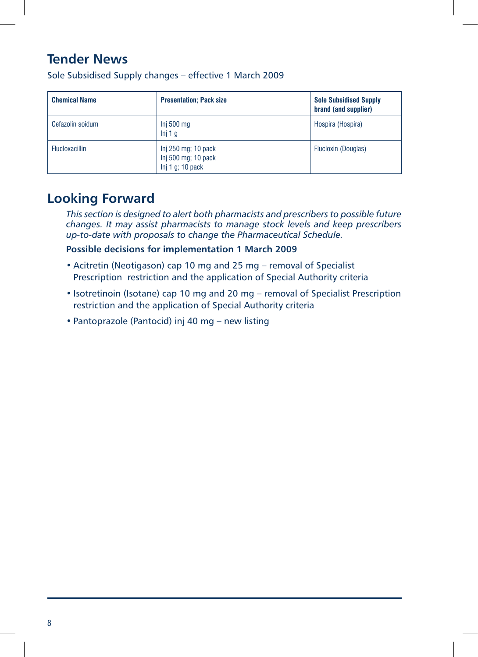### **Tender News**

| <b>Chemical Name</b>  | <b>Presentation: Pack size</b>                                    | <b>Sole Subsidised Supply</b><br>brand (and supplier) |
|-----------------------|-------------------------------------------------------------------|-------------------------------------------------------|
| Cefazolin soidum      | Inj 500 mg<br>Inj 1 g                                             | Hospira (Hospira)                                     |
| <b>Flucloxacillin</b> | Inj 250 mg; 10 pack<br>Inj 500 mg; 10 pack<br>$Inj 1 q$ ; 10 pack | Flucloxin (Douglas)                                   |

Sole Subsidised Supply changes – effective 1 March 2009

### **Looking Forward**

*This section is designed to alert both pharmacists and prescribers to possible future changes. It may assist pharmacists to manage stock levels and keep prescribers up-to-date with proposals to change the Pharmaceutical Schedule.*

**Possible decisions for implementation 1 March 2009**

- Acitretin (Neotigason) cap 10 mg and 25 mg removal of Specialist Prescription restriction and the application of Special Authority criteria
- Isotretinoin (Isotane) cap 10 mg and 20 mg removal of Specialist Prescription restriction and the application of Special Authority criteria
- Pantoprazole (Pantocid) inj 40 mg new listing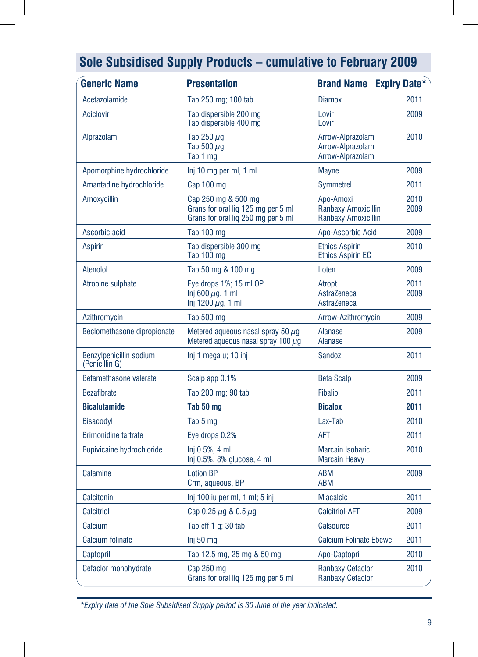| <b>Generic Name</b>                       | <b>Presentation</b>                                                                             | <b>Brand Name</b>                                              | <b>Expiry Date*</b> |
|-------------------------------------------|-------------------------------------------------------------------------------------------------|----------------------------------------------------------------|---------------------|
| Acetazolamide                             | Tab 250 mg; 100 tab                                                                             | <b>Diamox</b>                                                  | 2011                |
| Aciclovir                                 | Tab dispersible 200 mg<br>Tab dispersible 400 mg                                                | Lovir<br>Lovir                                                 | 2009                |
| Alprazolam                                | Tab 250 $\mu$ g<br>Tab 500 $\mu$ g<br>Tab 1 mg                                                  | Arrow-Alprazolam<br>Arrow-Alprazolam<br>Arrow-Alprazolam       | 2010                |
| Apomorphine hydrochloride                 | Inj 10 mg per ml, 1 ml                                                                          | <b>Mayne</b>                                                   | 2009                |
| Amantadine hydrochloride                  | Cap 100 mg                                                                                      | <b>Symmetrel</b>                                               | 2011                |
| Amoxycillin                               | Cap 250 mg & 500 mg<br>Grans for oral lig 125 mg per 5 ml<br>Grans for oral liq 250 mg per 5 ml | Apo-Amoxi<br>Ranbaxy Amoxicillin<br><b>Ranbaxy Amoxicillin</b> | 2010<br>2009        |
| Ascorbic acid                             | <b>Tab 100 mg</b>                                                                               | Apo-Ascorbic Acid                                              | 2009                |
| <b>Aspirin</b>                            | Tab dispersible 300 mg<br>Tab 100 mg                                                            | <b>Ethics Aspirin</b><br><b>Ethics Aspirin EC</b>              | 2010                |
| Atenolol                                  | Tab 50 mg & 100 mg                                                                              | Loten                                                          | 2009                |
| Atropine sulphate                         | Eye drops 1%; 15 ml OP<br>Inj 600 $\mu$ g, 1 ml<br>Inj 1200 $\mu$ g, 1 ml                       | Atropt<br>AstraZeneca<br>AstraZeneca                           | 2011<br>2009        |
| Azithromycin                              | Tab 500 mg                                                                                      | Arrow-Azithromycin                                             | 2009                |
| Beclomethasone dipropionate               | Metered aqueous nasal spray 50 $\mu$ q<br>Metered aqueous nasal spray 100 $\mu$ g               | <b>Alanase</b><br><b>Alanase</b>                               | 2009                |
| Benzylpenicillin sodium<br>(Penicillin G) | Inj 1 mega u; 10 inj                                                                            | Sandoz                                                         | 2011                |
| Betamethasone valerate                    | Scalp app 0.1%                                                                                  | <b>Beta Scalp</b>                                              | 2009                |
| <b>Bezafibrate</b>                        | Tab 200 mg; 90 tab                                                                              | <b>Fibalip</b>                                                 | 2011                |
| <b>Bicalutamide</b>                       | Tab 50 mg                                                                                       | <b>Bicalox</b>                                                 | 2011                |
| <b>Bisacodyl</b>                          | Tab 5 mg                                                                                        | Lax-Tab                                                        | 2010                |
| <b>Brimonidine tartrate</b>               | Eye drops 0.2%                                                                                  | <b>AFT</b>                                                     | 2011                |
| <b>Bupivicaine hydrochloride</b>          | Ini 0.5%, 4 ml<br>Inj 0.5%, 8% glucose, 4 ml                                                    | <b>Marcain Isobaric</b><br><b>Marcain Heavy</b>                | 2010                |
| Calamine                                  | <b>Lotion BP</b><br>Crm, aqueous, BP                                                            | <b>ABM</b><br><b>ABM</b>                                       | 2009                |
| Calcitonin                                | Inj 100 iu per ml, 1 ml; 5 inj                                                                  | <b>Miacalcic</b>                                               | 2011                |
| Calcitriol                                | Cap 0.25 $\mu$ g & 0.5 $\mu$ g                                                                  | <b>Calcitriol-AFT</b>                                          | 2009                |
| Calcium                                   | Tab eff 1 g; 30 tab                                                                             | <b>Calsource</b>                                               | 2011                |
| <b>Calcium folinate</b>                   | Inj 50 mg                                                                                       | <b>Calcium Folinate Ebewe</b>                                  | 2011                |
| Captopril                                 | Tab 12.5 mg, 25 mg & 50 mg                                                                      | Apo-Captopril                                                  | 2010                |
| Cefaclor monohydrate                      | Cap 250 mg<br>Grans for oral lig 125 mg per 5 ml                                                | <b>Ranbaxy Cefaclor</b><br><b>Ranbaxy Cefaclor</b>             | 2010                |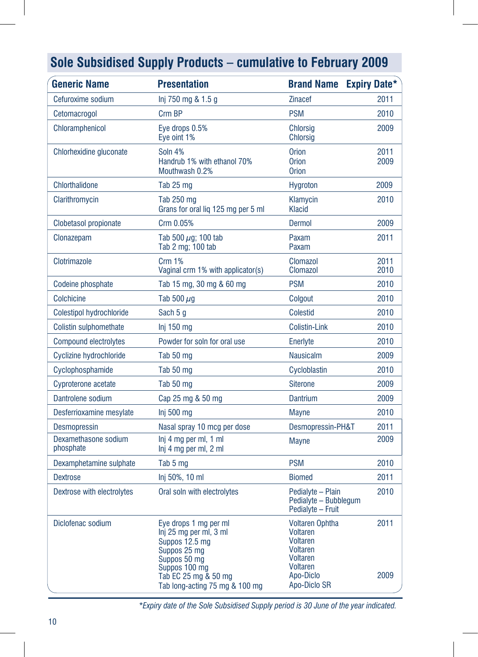| <b>Generic Name</b>               | <b>Presentation</b>                                                                                                                                                          | <b>Brand Name Expiry Date*</b>                                                                                                              |              |
|-----------------------------------|------------------------------------------------------------------------------------------------------------------------------------------------------------------------------|---------------------------------------------------------------------------------------------------------------------------------------------|--------------|
| Cefuroxime sodium                 | Inj 750 mg & 1.5 g                                                                                                                                                           | <b>Zinacef</b>                                                                                                                              | 2011         |
| Cetomacrogol                      | Crm BP                                                                                                                                                                       | <b>PSM</b>                                                                                                                                  | 2010         |
| Chloramphenicol                   | Eye drops 0.5%<br>Eye oint 1%                                                                                                                                                | <b>Chlorsig</b><br><b>Chlorsig</b>                                                                                                          | 2009         |
| Chlorhexidine gluconate           | Soln 4%<br>Handrub 1% with ethanol 70%<br>Mouthwash 0.2%                                                                                                                     | <b>Orion</b><br><b>Orion</b><br><b>Orion</b>                                                                                                | 2011<br>2009 |
| <b>Chlorthalidone</b>             | Tab 25 mg                                                                                                                                                                    | <b>Hygroton</b>                                                                                                                             | 2009         |
| Clarithromycin                    | Tab 250 mg<br>Grans for oral lig 125 mg per 5 ml                                                                                                                             | Klamycin<br><b>Klacid</b>                                                                                                                   | 2010         |
| Clobetasol propionate             | Crm 0.05%                                                                                                                                                                    | <b>Dermol</b>                                                                                                                               | 2009         |
| Clonazepam                        | Tab 500 $\mu$ g; 100 tab<br>Tab 2 mg; 100 tab                                                                                                                                | Paxam<br>Paxam                                                                                                                              | 2011         |
| Clotrimazole                      | <b>Crm 1%</b><br>Vaginal crm 1% with applicator(s)                                                                                                                           | <b>Clomazol</b><br><b>Clomazol</b>                                                                                                          | 2011<br>2010 |
| Codeine phosphate                 | Tab 15 mg, 30 mg & 60 mg                                                                                                                                                     | <b>PSM</b>                                                                                                                                  | 2010         |
| Colchicine                        | Tab 500 $\mu$ g                                                                                                                                                              | Colgout                                                                                                                                     | 2010         |
| <b>Colestipol hydrochloride</b>   | Sach 5 g                                                                                                                                                                     | <b>Colestid</b>                                                                                                                             | 2010         |
| Colistin sulphomethate            | $Inj$ 150 mg                                                                                                                                                                 | <b>Colistin-Link</b>                                                                                                                        | 2010         |
| <b>Compound electrolytes</b>      | Powder for soln for oral use                                                                                                                                                 | Enerlyte                                                                                                                                    | 2010         |
| Cyclizine hydrochloride           | Tab 50 mg                                                                                                                                                                    | <b>Nausicalm</b>                                                                                                                            | 2009         |
| Cyclophosphamide                  | Tab 50 mg                                                                                                                                                                    | Cycloblastin                                                                                                                                | 2010         |
| Cyproterone acetate               | Tab 50 mg                                                                                                                                                                    | <b>Siterone</b>                                                                                                                             | 2009         |
| Dantrolene sodium                 | Cap 25 mg & 50 mg                                                                                                                                                            | <b>Dantrium</b>                                                                                                                             | 2009         |
| Desferrioxamine mesylate          | Inj 500 $mg$                                                                                                                                                                 | <b>Mayne</b>                                                                                                                                | 2010         |
| <b>Desmopressin</b>               | Nasal spray 10 mcg per dose                                                                                                                                                  | Desmopressin-PH&T                                                                                                                           | 2011         |
| Dexamethasone sodium<br>phosphate | Inj 4 mg per ml, 1 ml<br>Inj 4 mg per ml, 2 ml                                                                                                                               | <b>Mayne</b>                                                                                                                                | 2009         |
| Dexamphetamine sulphate           | Tab 5 mg                                                                                                                                                                     | <b>PSM</b>                                                                                                                                  | 2010         |
| <b>Dextrose</b>                   | Inj 50%, 10 ml                                                                                                                                                               | <b>Biomed</b>                                                                                                                               | 2011         |
| Dextrose with electrolytes        | Oral soln with electrolytes                                                                                                                                                  | Pedialyte - Plain<br>Pedialyte - Bubblegum<br>Pedialyte - Fruit                                                                             | 2010         |
| Diclofenac sodium                 | Eye drops 1 mg per ml<br>Inj 25 mg per ml, 3 ml<br>Suppos 12.5 mg<br>Suppos 25 mg<br>Suppos 50 mg<br>Suppos 100 mg<br>Tab EC 25 mg & 50 mg<br>Tab long-acting 75 mg & 100 mg | <b>Voltaren Ophtha</b><br>Voltaren<br><b>Voltaren</b><br><b>Voltaren</b><br><b>Voltaren</b><br><b>Voltaren</b><br>Apo-Diclo<br>Apo-Diclo SR | 2011<br>2009 |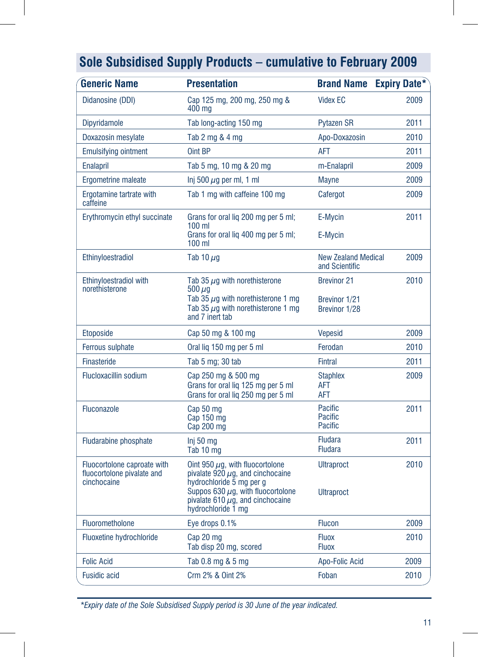| <b>Generic Name</b>                                                      | <b>Presentation</b>                                                                                                                                                                                                | <b>Brand Name Expiry Date*</b>               |      |
|--------------------------------------------------------------------------|--------------------------------------------------------------------------------------------------------------------------------------------------------------------------------------------------------------------|----------------------------------------------|------|
| Didanosine (DDI)                                                         | Cap 125 mg, 200 mg, 250 mg &<br>400 mg                                                                                                                                                                             | <b>Videx EC</b>                              | 2009 |
| Dipyridamole                                                             | Tab long-acting 150 mg                                                                                                                                                                                             | <b>Pytazen SR</b>                            | 2011 |
| Doxazosin mesylate                                                       | Tab 2 mg & 4 mg                                                                                                                                                                                                    | Apo-Doxazosin                                | 2010 |
| <b>Emulsifying ointment</b>                                              | Oint BP                                                                                                                                                                                                            | AFT                                          | 2011 |
| <b>Enalapril</b>                                                         | Tab 5 mg, 10 mg & 20 mg                                                                                                                                                                                            | m-Enalapril                                  | 2009 |
| Ergometrine maleate                                                      | Inj 500 $\mu$ g per ml, 1 ml                                                                                                                                                                                       | <b>Mayne</b>                                 | 2009 |
| Ergotamine tartrate with<br>caffeine                                     | Tab 1 mg with caffeine 100 mg                                                                                                                                                                                      | Cafergot                                     | 2009 |
| Erythromycin ethyl succinate                                             | Grans for oral lig 200 mg per 5 ml;                                                                                                                                                                                | E-Mycin                                      | 2011 |
|                                                                          | $100 \mathrm{m}$<br>Grans for oral lig 400 mg per 5 ml;<br>$100$ ml                                                                                                                                                | E-Mycin                                      |      |
| Ethinyloestradiol                                                        | Tab 10 $\mu$ g                                                                                                                                                                                                     | <b>New Zealand Medical</b><br>and Scientific | 2009 |
| Ethinyloestradiol with                                                   | Tab 35 $\mu$ q with norethisterone                                                                                                                                                                                 | <b>Brevinor 21</b>                           | 2010 |
| norethisterone                                                           | 500 <i>u</i> a<br>Tab 35 $\mu$ g with norethisterone 1 mg<br>Tab 35 $\mu$ g with norethisterone 1 mg<br>and 7 inert tab                                                                                            | Brevinor 1/21<br>Brevinor 1/28               |      |
| <b>Etoposide</b>                                                         | Cap 50 mg & 100 mg                                                                                                                                                                                                 | <b>Vepesid</b>                               | 2009 |
| Ferrous sulphate                                                         | Oral lig 150 mg per 5 ml                                                                                                                                                                                           | Ferodan                                      | 2010 |
| <b>Finasteride</b>                                                       | Tab 5 mg; 30 tab                                                                                                                                                                                                   | <b>Fintral</b>                               | 2011 |
| <b>Flucloxacillin sodium</b>                                             | Cap 250 mg & 500 mg<br>Grans for oral lig 125 mg per 5 ml<br>Grans for oral liq 250 mg per 5 ml                                                                                                                    | <b>Staphlex</b><br>AFT<br>AFT                | 2009 |
| <b>Fluconazole</b>                                                       | Cap 50 mg<br>Cap 150 mg<br>Cap 200 mg                                                                                                                                                                              | Pacific<br>Pacific<br><b>Pacific</b>         | 2011 |
| <b>Fludarabine phosphate</b>                                             | Inj 50 $mg$<br>Tab 10 mg                                                                                                                                                                                           | <b>Fludara</b><br><b>Fludara</b>             | 2011 |
| Fluocortolone caproate with<br>fluocortolone pivalate and<br>cinchocaine | Oint 950 $\mu$ g, with fluocortolone<br>pivalate $920 \mu$ g, and cinchocaine<br>hydrochloride 5 mg per g<br>Suppos 630 $\mu$ g, with fluocortolone<br>pivalate 610 $\mu$ g, and cinchocaine<br>hydrochloride 1 mg | <b>Ultraproct</b><br><b>Ultraproct</b>       | 2010 |
| <b>Fluorometholone</b>                                                   | Eye drops 0.1%                                                                                                                                                                                                     | <b>Flucon</b>                                | 2009 |
| Fluoxetine hydrochloride                                                 | Cap 20 mg<br>Tab disp 20 mg, scored                                                                                                                                                                                | <b>Fluox</b><br><b>Fluox</b>                 | 2010 |
| <b>Folic Acid</b>                                                        | Tab 0.8 mg & 5 mg                                                                                                                                                                                                  | <b>Apo-Folic Acid</b>                        | 2009 |
| <b>Fusidic acid</b>                                                      | Crm 2% & Oint 2%                                                                                                                                                                                                   | Foban                                        | 2010 |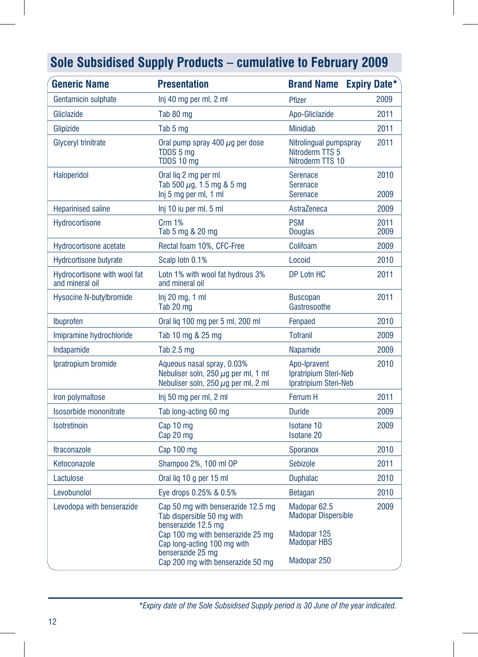| <b>Generic Name</b>                             | <b>Presentation</b>                                                                                                          | <b>Brand Name</b>                                                    | <b>Expiry Date*</b> |
|-------------------------------------------------|------------------------------------------------------------------------------------------------------------------------------|----------------------------------------------------------------------|---------------------|
| Gentamicin sulphate                             | Inj 40 mg per ml, 2 ml                                                                                                       | Pfizer                                                               | 2009                |
| Gliclazide                                      | Tab 80 mg                                                                                                                    | Apo-Gliclazide                                                       | 2011                |
| Glipizide                                       | Tab 5 mg                                                                                                                     | <b>Minidiab</b>                                                      | 2011                |
| Glyceryl trinitrate                             | Oral pump spray 400 $\mu$ q per dose<br>TDDS 5 ma<br>TDDS 10 mg                                                              | Nitrolingual pumpspray<br>Nitroderm TTS 5<br>Nitroderm TTS 10        | 2011                |
| <b>Haloperidol</b>                              | Oral lig 2 mg per ml<br>Tab 500 $\mu$ g, 1.5 mg & 5 mg<br>Inj 5 mg per ml, 1 ml                                              | <b>Serenace</b><br><b>Serenace</b><br>Serenace                       | 2010<br>2009        |
| <b>Heparinised saline</b>                       | Inj 10 iu per ml, 5 ml                                                                                                       | AstraZeneca                                                          | 2009                |
| Hydrocortisone                                  | <b>Crm 1%</b><br>Tab 5 mg & 20 mg                                                                                            | <b>PSM</b><br><b>Douglas</b>                                         | 2011<br>2009        |
| Hydrocortisone acetate                          | Rectal foam 10%, CFC-Free                                                                                                    | Colifoam                                                             | 2009                |
| <b>Hydrcortisone butyrate</b>                   | Scalp lotn 0.1%                                                                                                              | Locoid                                                               | 2010                |
| Hydrocortisone with wool fat<br>and mineral oil | Lotn 1% with wool fat hydrous 3%<br>and mineral oil                                                                          | DP Lotn HC                                                           | 2011                |
| <b>Hysocine N-butylbromide</b>                  | $Inj 20$ mg, 1 ml<br>Tab 20 mg                                                                                               | <b>Buscopan</b><br>Gastrosoothe                                      | 2011                |
| Ibuprofen                                       | Oral liq 100 mg per 5 ml, 200 ml                                                                                             | Fenpaed                                                              | 2010                |
| Imipramine hydrochloride                        | Tab 10 mg & 25 mg                                                                                                            | <b>Tofranil</b>                                                      | 2009                |
| Indapamide                                      | Tab 2.5 mg                                                                                                                   | Napamide                                                             | 2009                |
| Ipratropium bromide                             | Aqueous nasal spray, 0.03%<br>Nebuliser soln, 250 $\mu$ g per ml, 1 ml<br>Nebuliser soln, 250 $\mu$ g per ml, 2 ml           | Apo-Ipravent<br>Ipratripium Steri-Neb<br>Ipratripium Steri-Neb       | 2010                |
| Iron polymaltose                                | Inj 50 mg per ml, 2 ml                                                                                                       | <b>Ferrum H</b>                                                      | 2011                |
| Isosorbide mononitrate                          | Tab long-acting 60 mg                                                                                                        | <b>Duride</b>                                                        | 2009                |
| Isotretinoin                                    | Cap 10 mg<br>Cap 20 mg                                                                                                       | Isotane 10<br><b>Isotane 20</b>                                      | 2009                |
| <b>Itraconazole</b>                             | Cap 100 mg                                                                                                                   | Sporanox                                                             | 2010                |
| Ketoconazole                                    | Shampoo 2%, 100 ml OP                                                                                                        | <b>Sebizole</b>                                                      | 2011                |
| Lactulose                                       | Oral lig 10 g per 15 ml                                                                                                      | <b>Duphalac</b>                                                      | 2010                |
| Levobunolol                                     | Eye drops 0.25% & 0.5%                                                                                                       | <b>Betagan</b>                                                       | 2010                |
| Levodopa with benserazide                       | Cap 50 mg with benserazide 12.5 mg<br>Tab dispersible 50 mg with<br>benserazide 12.5 mg<br>Cap 100 mg with benserazide 25 mg | Madopar <sub>62.5</sub><br><b>Madopar Dispersible</b><br>Madopar 125 | 2009                |
|                                                 | Cap long-acting 100 mg with<br>benserazide 25 mg<br>Cap 200 mg with benserazide 50 mg                                        | <b>Madopar HBS</b><br>Madopar 250                                    |                     |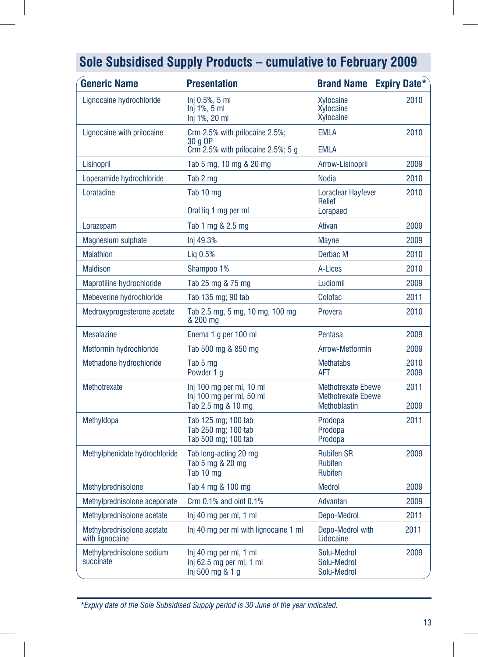| <b>Generic Name</b>                           | <b>Presentation</b>                                                        | <b>Brand Name</b>                                                      | <b>Expiry Date*</b> |
|-----------------------------------------------|----------------------------------------------------------------------------|------------------------------------------------------------------------|---------------------|
| Lignocaine hydrochloride                      | Ini 0.5%, 5 ml<br>$Inj 1\%$ , 5 ml<br>Inj 1%, 20 ml                        | <b>Xylocaine</b><br>Xylocaine<br>Xylocaine                             | 2010                |
| Lignocaine with prilocaine                    | Crm 2.5% with prilocaine 2.5%;<br>30 a OP                                  | <b>EMLA</b>                                                            | 2010                |
|                                               | Crm 2.5% with prilocaine 2.5%; 5 g                                         | <b>EMLA</b>                                                            |                     |
| Lisinopril                                    | Tab 5 mg, 10 mg & 20 mg                                                    | Arrow-Lisinopril                                                       | 2009                |
| Loperamide hydrochloride                      | Tab 2 mg                                                                   | <b>Nodia</b>                                                           | 2010                |
| Loratadine                                    | Tab 10 mg<br>Oral lig 1 mg per ml                                          | Loraclear Hayfever<br>Relief<br>Lorapaed                               | 2010                |
| Lorazepam                                     | Tab 1 mg & 2.5 mg                                                          | Ativan                                                                 | 2009                |
| <b>Magnesium sulphate</b>                     | Inj 49.3%                                                                  | <b>Mayne</b>                                                           | 2009                |
| <b>Malathion</b>                              | Lig 0.5%                                                                   | Derbac M                                                               | 2010                |
| <b>Maldison</b>                               | Shampoo 1%                                                                 | A-Lices                                                                | 2010                |
| Maprotiline hydrochloride                     | Tab 25 mg & 75 mg                                                          | Ludiomil                                                               | 2009                |
| Mebeverine hydrochloride                      | Tab 135 mg; 90 tab                                                         | Colofac                                                                | 2011                |
| Medroxyprogesterone acetate                   | Tab 2.5 mg, 5 mg, 10 mg, 100 mg<br>& 200 mg                                | Provera                                                                | 2010                |
| <b>Mesalazine</b>                             | Enema 1 g per 100 ml                                                       | Pentasa                                                                | 2009                |
| Metformin hydrochloride                       | Tab 500 mg & 850 mg                                                        | Arrow-Metformin                                                        | 2009                |
| Methadone hydrochloride                       | Tab 5 mg<br>Powder 1 g                                                     | <b>Methatabs</b><br><b>AFT</b>                                         | 2010<br>2009        |
| Methotrexate                                  | Inj 100 mg per ml, 10 ml<br>Inj 100 mg per ml, 50 ml<br>Tab 2.5 mg & 10 mg | <b>Methotrexate Ebewe</b><br><b>Methotrexate Ebewe</b><br>Methoblastin | 2011<br>2009        |
| Methyldopa                                    | Tab 125 mg; 100 tab<br>Tab 250 mg; 100 tab<br>Tab 500 mg; 100 tab          | Prodopa<br>Prodopa<br>Prodopa                                          | 2011                |
| Methylphenidate hydrochloride                 | Tab long-acting 20 mg<br>Tab 5 mg & 20 mg<br>Tab 10 mg                     | <b>Rubifen SR</b><br><b>Rubifen</b><br><b>Rubifen</b>                  | 2009                |
| Methylprednisolone                            | Tab 4 mg & 100 mg                                                          | <b>Medrol</b>                                                          | 2009                |
| Methylprednisolone aceponate                  | Crm $0.1\%$ and oint $0.1\%$                                               | Advantan                                                               | 2009                |
| Methylprednisolone acetate                    | Inj 40 mg per ml, 1 ml                                                     | Depo-Medrol                                                            | 2011                |
| Methylprednisolone acetate<br>with lignocaine | Inj 40 mg per ml with lignocaine 1 ml                                      | Depo-Medrol with<br>Lidocaine                                          | 2011                |
| Methylprednisolone sodium<br>succinate        | Inj 40 mg per ml, 1 ml<br>Inj 62.5 mg per ml, 1 ml<br>Inj 500 mg & 1 g     | Solu-Medrol<br>Solu-Medrol<br>Solu-Medrol                              | 2009                |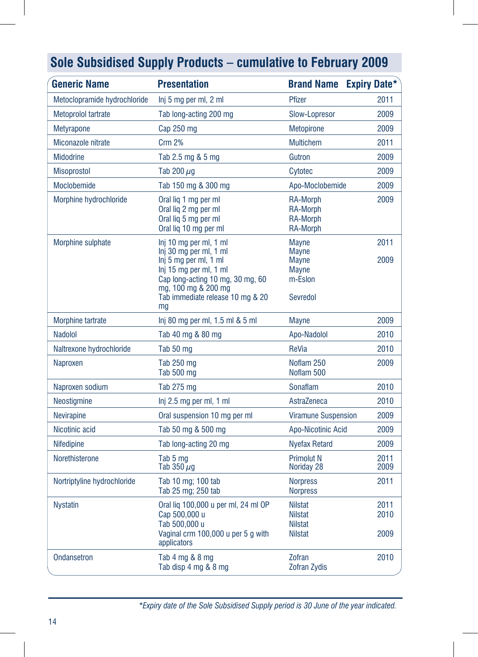| <b>Generic Name</b>          | <b>Presentation</b>                                                                                                                                                                                      | <b>Brand Name Expiry Date*</b>                                                      |                      |
|------------------------------|----------------------------------------------------------------------------------------------------------------------------------------------------------------------------------------------------------|-------------------------------------------------------------------------------------|----------------------|
| Metoclopramide hydrochloride | Inj 5 mg per ml, 2 ml                                                                                                                                                                                    | Pfizer                                                                              | 2011                 |
| <b>Metoprolol tartrate</b>   | Tab long-acting 200 mg                                                                                                                                                                                   | Slow-Lopresor                                                                       | 2009                 |
| <b>Metyrapone</b>            | $Cap$ 250 mg                                                                                                                                                                                             | <b>Metopirone</b>                                                                   | 2009                 |
| Miconazole nitrate           | <b>Crm 2%</b>                                                                                                                                                                                            | <b>Multichem</b>                                                                    | 2011                 |
| <b>Midodrine</b>             | Tab 2.5 mg & 5 mg                                                                                                                                                                                        | Gutron                                                                              | 2009                 |
| <b>Misoprostol</b>           | Tab 200 $\mu$ g                                                                                                                                                                                          | Cytotec                                                                             | 2009                 |
| Moclobemide                  | Tab 150 mg & 300 mg                                                                                                                                                                                      | Apo-Moclobemide                                                                     | 2009                 |
| Morphine hydrochloride       | Oral lig 1 mg per ml<br>Oral lig 2 mg per ml<br>Oral lig 5 mg per ml<br>Oral liq 10 mg per ml                                                                                                            | <b>RA-Morph</b><br><b>RA-Morph</b><br><b>RA-Morph</b><br><b>RA-Morph</b>            | 2009                 |
| Morphine sulphate            | Inj 10 mg per ml, 1 ml<br>Inj 30 mg per ml, 1 ml<br>Inj 5 mg per ml, 1 ml<br>Inj 15 mg per ml, 1 ml<br>Cap long-acting 10 mg, 30 mg, 60<br>mg, 100 mg & 200 mg<br>Tab immediate release 10 mg & 20<br>mq | <b>Mayne</b><br><b>Mayne</b><br><b>Mayne</b><br><b>Mayne</b><br>m-Eslon<br>Sevredol | 2011<br>2009         |
| <b>Morphine tartrate</b>     | lnj 80 mg per ml, 1.5 ml & 5 ml                                                                                                                                                                          | <b>Mayne</b>                                                                        | 2009                 |
| <b>Nadolol</b>               | Tab 40 mg & 80 mg                                                                                                                                                                                        | Apo-Nadolol                                                                         | 2010                 |
| Naltrexone hydrochloride     | Tab 50 mg                                                                                                                                                                                                | ReVia                                                                               | 2010                 |
| Naproxen                     | Tab 250 mg<br>Tab 500 mg                                                                                                                                                                                 | Noflam 250<br>Noflam 500                                                            | 2009                 |
| Naproxen sodium              | Tab 275 mg                                                                                                                                                                                               | Sonaflam                                                                            | 2010                 |
| Neostigmine                  | Inj 2.5 mg per ml, 1 ml                                                                                                                                                                                  | AstraZeneca                                                                         | 2010                 |
| <b>Nevirapine</b>            | Oral suspension 10 mg per ml                                                                                                                                                                             | <b>Viramune Suspension</b>                                                          | 2009                 |
| Nicotinic acid               | Tab 50 mg & 500 mg                                                                                                                                                                                       | Apo-Nicotinic Acid                                                                  | 2009                 |
| Nifedipine                   | Tab long-acting 20 mg                                                                                                                                                                                    | <b>Nyefax Retard</b>                                                                | 2009                 |
| Norethisterone               | Tab 5 mg<br>Tab 350 $\mu$ g                                                                                                                                                                              | <b>Primolut N</b><br>Noriday 28                                                     | 2011<br>2009         |
| Nortriptyline hydrochloride  | Tab 10 mg; 100 tab<br>Tab 25 mg; 250 tab                                                                                                                                                                 | <b>Norpress</b><br><b>Norpress</b>                                                  | 2011                 |
| <b>Nystatin</b>              | Oral lig 100,000 u per ml, 24 ml OP<br>Cap 500,000 u<br>Tab 500,000 u<br>Vaginal crm 100,000 u per 5 g with<br>applicators                                                                               | <b>Nilstat</b><br><b>Nilstat</b><br><b>Nilstat</b><br><b>Nilstat</b>                | 2011<br>2010<br>2009 |
| <b>Ondansetron</b>           | Tab 4 mg & 8 mg<br>Tab disp 4 mg & 8 mg                                                                                                                                                                  | Zofran<br><b>Zofran Zydis</b>                                                       | 2010                 |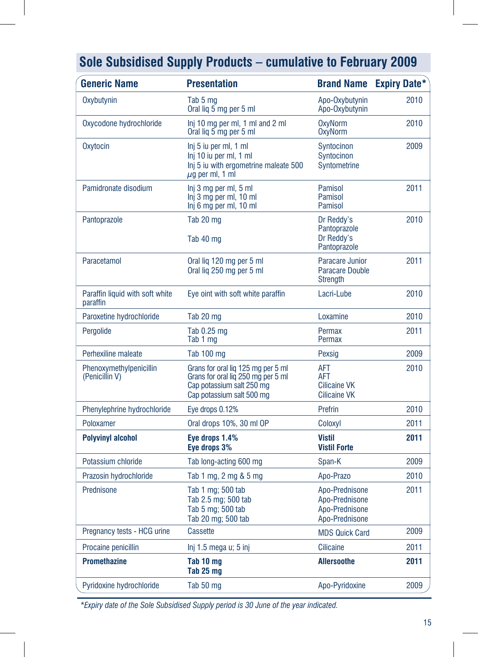| <b>Generic Name</b>                         | <b>Presentation</b>                                                                                                                | <b>Brand Name</b>                                                    | <b>Expiry Date*</b> |
|---------------------------------------------|------------------------------------------------------------------------------------------------------------------------------------|----------------------------------------------------------------------|---------------------|
| Oxybutynin                                  | Tab 5 mg<br>Oral lig 5 mg per 5 ml                                                                                                 | Apo-Oxybutynin<br>Apo-Oxybutynin                                     | 2010                |
| Oxycodone hydrochloride                     | Inj 10 mg per ml, 1 ml and 2 ml<br>Oral liq 5 mg per 5 ml                                                                          | <b>OxyNorm</b><br><b>OxyNorm</b>                                     | 2010                |
| Oxytocin                                    | Inj 5 iu per ml, 1 ml<br>Inj 10 iu per ml, 1 ml<br>Inj 5 iu with ergometrine maleate 500<br>$\mu$ g per ml, 1 ml                   | Syntocinon<br>Syntocinon<br>Syntometrine                             | 2009                |
| Pamidronate disodium                        | Inj 3 mg per ml, 5 ml<br>Inj 3 mg per ml, 10 ml<br>Inj 6 mg per ml, 10 ml                                                          | Pamisol<br>Pamisol<br>Pamisol                                        | 2011                |
| Pantoprazole                                | Tab 20 mg<br>Tab 40 mg                                                                                                             | Dr Reddy's<br>Pantoprazole<br>Dr Reddy's<br>Pantoprazole             | 2010                |
| Paracetamol                                 | Oral lig 120 mg per 5 ml<br>Oral liq 250 mg per 5 ml                                                                               | <b>Paracare Junior</b><br>Paracare Double<br><b>Strength</b>         | 2011                |
| Paraffin liquid with soft white<br>paraffin | Eye oint with soft white paraffin                                                                                                  | Lacri-Lube                                                           | 2010                |
| Paroxetine hydrochloride                    | Tab 20 mg                                                                                                                          | Loxamine                                                             | 2010                |
| Pergolide                                   | Tab 0.25 mg<br>Tab 1 mg                                                                                                            | Permax<br>Permax                                                     | 2011                |
| Perhexiline maleate                         | <b>Tab 100 mg</b>                                                                                                                  | Pexsig                                                               | 2009                |
| Phenoxymethylpenicillin<br>(Penicillin V)   | Grans for oral lig 125 mg per 5 ml<br>Grans for oral liq 250 mg per 5 ml<br>Cap potassium salt 250 mg<br>Cap potassium salt 500 mg | AFT<br><b>AFT</b><br><b>Cilicaine VK</b><br><b>Cilicaine VK</b>      | 2010                |
| Phenylephrine hydrochloride                 | Eye drops 0.12%                                                                                                                    | Prefrin                                                              | 2010                |
| Poloxamer                                   | Oral drops 10%, 30 ml OP                                                                                                           | Coloxyl                                                              | 2011                |
| <b>Polyvinyl alcohol</b>                    | Eye drops 1.4%<br>Eye drops 3%                                                                                                     | <b>Vistil</b><br><b>Vistil Forte</b>                                 | 2011                |
| Potassium chloride                          | Tab long-acting 600 mg                                                                                                             | Span-K                                                               | 2009                |
| Prazosin hydrochloride                      | Tab 1 mg, 2 mg & 5 mg                                                                                                              | Apo-Prazo                                                            | 2010                |
| Prednisone                                  | Tab 1 mg; 500 tab<br>Tab 2.5 mg; 500 tab<br>Tab 5 mg; 500 tab<br>Tab 20 mg; 500 tab                                                | Apo-Prednisone<br>Apo-Prednisone<br>Apo-Prednisone<br>Apo-Prednisone | 2011                |
| Pregnancy tests - HCG urine                 | <b>Cassette</b>                                                                                                                    | <b>MDS Quick Card</b>                                                | 2009                |
| Procaine penicillin                         | Inj 1.5 mega u; 5 inj                                                                                                              | <b>Cilicaine</b>                                                     | 2011                |
| <b>Promethazine</b>                         | Tab 10 mg<br>Tab 25 mg                                                                                                             | <b>Allersoothe</b>                                                   | 2011                |
| Pyridoxine hydrochloride                    | Tab 50 mg                                                                                                                          | Apo-Pyridoxine                                                       | 2009                |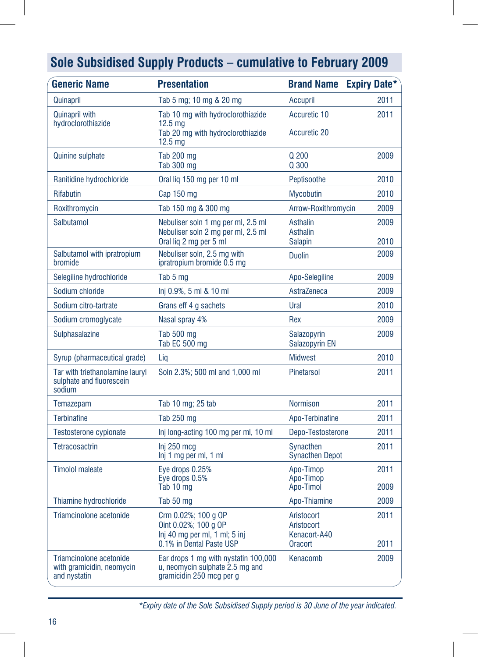| <b>Generic Name</b>                                                   | <b>Presentation</b>                                                                                        | <b>Brand Name</b>                                   | <b>Expiry Date*</b> |
|-----------------------------------------------------------------------|------------------------------------------------------------------------------------------------------------|-----------------------------------------------------|---------------------|
| Quinapril                                                             | Tab 5 mg; 10 mg & 20 mg                                                                                    | <b>Accupril</b>                                     | 2011                |
| <b>Quinapril with</b><br>hydroclorothiazide                           | Tab 10 mg with hydroclorothiazide<br>12.5 <sub>mg</sub>                                                    | Accuretic 10                                        | 2011                |
|                                                                       | Tab 20 mg with hydroclorothiazide<br>12.5 <sub>mg</sub>                                                    | <b>Accuretic 20</b>                                 |                     |
| <b>Quinine sulphate</b>                                               | <b>Tab 200 mg</b><br><b>Tab 300 mg</b>                                                                     | Q 200<br>Q 300                                      | 2009                |
| Ranitidine hydrochloride                                              | Oral lig 150 mg per 10 ml                                                                                  | Peptisoothe                                         | 2010                |
| Rifabutin                                                             | Cap 150 mg                                                                                                 | <b>Mycobutin</b>                                    | 2010                |
| Roxithromycin                                                         | Tab 150 mg & 300 mg                                                                                        | Arrow-Roxithromycin                                 | 2009                |
| Salbutamol                                                            | Nebuliser soln 1 mg per ml, 2.5 ml<br>Nebuliser soln 2 mg per ml, 2.5 ml<br>Oral lig 2 mg per 5 ml         | Asthalin<br><b>Asthalin</b><br><b>Salapin</b>       | 2009<br>2010        |
| Salbutamol with ipratropium<br>bromide                                | Nebuliser soln, 2.5 mg with<br>ipratropium bromide 0.5 mg                                                  | <b>Duolin</b>                                       | 2009                |
| Selegiline hydrochloride                                              | Tab 5 mg                                                                                                   | Apo-Selegiline                                      | 2009                |
| Sodium chloride                                                       | Inj 0.9%, 5 ml & 10 ml                                                                                     | AstraZeneca                                         | 2009                |
| Sodium citro-tartrate                                                 | Grans eff 4 g sachets                                                                                      | Ural                                                | 2010                |
| Sodium cromoglycate                                                   | Nasal spray 4%                                                                                             | Rex                                                 | 2009                |
| Sulphasalazine                                                        | Tab 500 mg<br>Tab EC 500 mg                                                                                | Salazopyrin<br>Salazopyrin EN                       | 2009                |
| Syrup (pharmaceutical grade)                                          | Lig                                                                                                        | <b>Midwest</b>                                      | 2010                |
| Tar with triethanolamine lauryl<br>sulphate and fluorescein<br>sodium | Soln 2.3%; 500 ml and 1,000 ml                                                                             | <b>Pinetarsol</b>                                   | 2011                |
| Temazepam                                                             | Tab 10 mg; 25 tab                                                                                          | <b>Normison</b>                                     | 2011                |
| <b>Terbinafine</b>                                                    | Tab 250 mg                                                                                                 | Apo-Terbinafine                                     | 2011                |
| Testosterone cypionate                                                | Inj long-acting 100 mg per ml, 10 ml                                                                       | Depo-Testosterone                                   | 2011                |
| <b>Tetracosactrin</b>                                                 | Inj 250 mcg<br>Inj 1 mg per ml, 1 ml                                                                       | Synacthen<br><b>Synacthen Depot</b>                 | 2011                |
| <b>Timolol maleate</b>                                                | Eye drops 0.25%<br>Eye drops 0.5%                                                                          | Apo-Timop<br>Apo-Timop                              | 2011                |
|                                                                       | Tab 10 mg                                                                                                  | Apo-Timol                                           | 2009                |
| Thiamine hydrochloride                                                | Tab 50 mg                                                                                                  | Apo-Thiamine                                        | 2009                |
| Triamcinolone acetonide                                               | Crm 0.02%; 100 g OP<br>Oint 0.02%; 100 g OP<br>$Inj$ 40 mg per ml, 1 ml; 5 inj<br>0.1% in Dental Paste USP | Aristocort<br>Aristocort<br>Kenacort-A40<br>Oracort | 2011<br>2011        |
| Triamcinolone acetonide<br>with gramicidin, neomycin<br>and nystatin  | Ear drops 1 mg with nystatin 100,000<br>u, neomycin sulphate 2.5 mg and<br>gramicidin 250 mcg per g        | Kenacomb                                            | 2009                |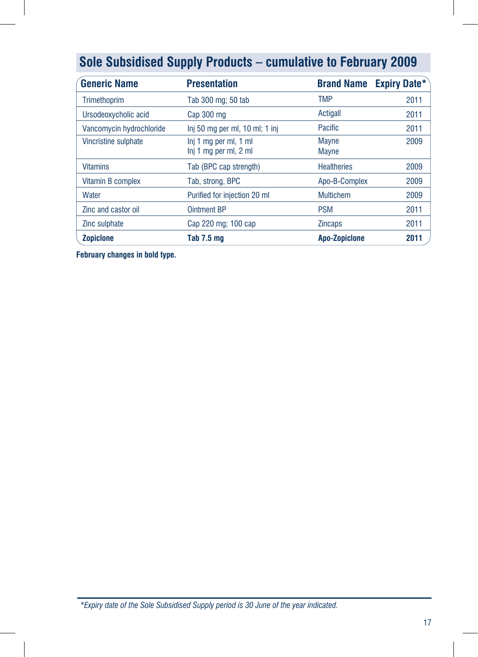| <b>Generic Name</b>      | <b>Presentation</b>                            |                              | <b>Brand Name Expiry Date*</b> |
|--------------------------|------------------------------------------------|------------------------------|--------------------------------|
| <b>Trimethoprim</b>      | Tab 300 mg; 50 tab                             | <b>TMP</b>                   | 2011                           |
| Ursodeoxycholic acid     | Cap 300 mg                                     | Actigall                     | 2011                           |
| Vancomycin hydrochloride | Inj 50 mg per ml, 10 ml; 1 inj                 | Pacific                      | 2011                           |
| Vincristine sulphate     | Inj 1 mg per ml, 1 ml<br>Inj 1 mg per ml, 2 ml | <b>Mayne</b><br><b>Mayne</b> | 2009                           |
| <b>Vitamins</b>          | Tab (BPC cap strength)                         | <b>Healtheries</b>           | 2009                           |
| Vitamin B complex        | Tab, strong, BPC                               | Apo-B-Complex                | 2009                           |
| Water                    | Purified for injection 20 ml                   | <b>Multichem</b>             | 2009                           |
| Zinc and castor oil      | <b>Ointment BP</b>                             | <b>PSM</b>                   | 2011                           |
| Zinc sulphate            | Cap 220 mg; 100 cap                            | <b>Zincaps</b>               | 2011                           |
| <b>Zopiclone</b>         | Tab 7.5 mg                                     | <b>Apo-Zopiclone</b>         | 2011                           |

**February changes in bold type.**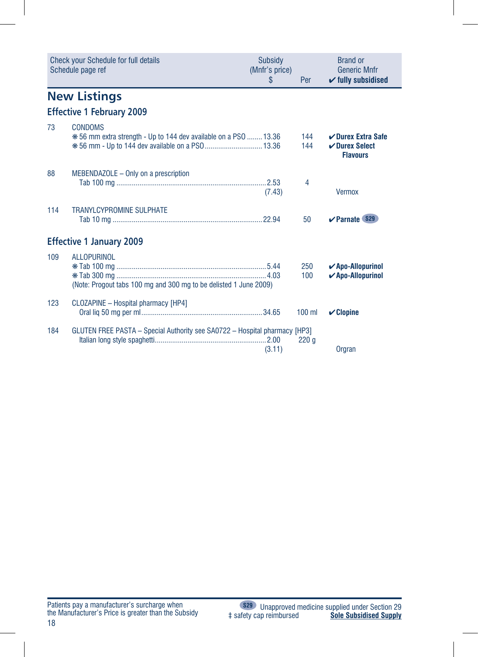|     | <b>Check your Schedule for full details</b><br>Schedule page ref                        | Subsidy<br>(Mnfr's price)<br>\$ | Per        | <b>Brand or</b><br><b>Generic Mnfr</b><br>$\checkmark$ fully subsidised |
|-----|-----------------------------------------------------------------------------------------|---------------------------------|------------|-------------------------------------------------------------------------|
|     | <b>New Listings</b>                                                                     |                                 |            |                                                                         |
|     | <b>Effective 1 February 2009</b>                                                        |                                 |            |                                                                         |
| 73  | <b>CONDOMS</b><br>*56 mm extra strength - Up to 144 dev available on a PSO  13.36       |                                 | 144<br>144 | <b>∠Durex Extra Safe</b><br>$\nu$ Durex Select<br><b>Flavours</b>       |
| 88  | MEBENDAZOLE - Only on a prescription                                                    | (7.43)                          | 4          | <b>Vermox</b>                                                           |
| 114 | <b>TRANYLCYPROMINE SULPHATE</b>                                                         |                                 | 50         | <b>∠Parnate (S29)</b>                                                   |
|     | <b>Effective 1 January 2009</b>                                                         |                                 |            |                                                                         |
| 109 | <b>ALLOPURINOL</b><br>(Note: Progout tabs 100 mg and 300 mg to be delisted 1 June 2009) |                                 | 250<br>100 | $\sqrt{A}$ po-Allopurinol<br>✔ Apo-Allopurinol                          |
| 123 | <b>CLOZAPINE - Hospital pharmacy [HP4]</b>                                              |                                 | $100$ ml   | $\mathcal V$ Clopine                                                    |
| 184 | GLUTEN FREE PASTA - Special Authority see SA0722 - Hospital pharmacy [HP3]              | (3.11)                          | 220q       | Orgran                                                                  |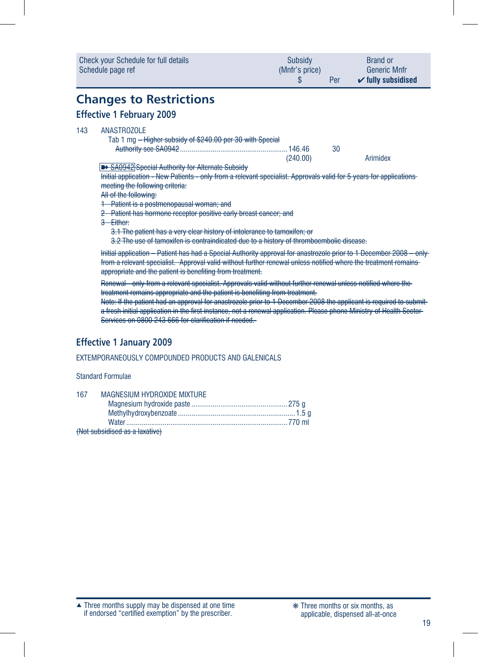| Subsidy<br>(Mnfr's price)<br>S                                                                                                                                                                                                                                                                       | Per | <b>Brand or</b><br><b>Generic Mnfr</b><br>$\checkmark$ fully subsidised                                                                                                                                                                                                                                                                                                                                                                                                                                                                                                                                                                                                                        |
|------------------------------------------------------------------------------------------------------------------------------------------------------------------------------------------------------------------------------------------------------------------------------------------------------|-----|------------------------------------------------------------------------------------------------------------------------------------------------------------------------------------------------------------------------------------------------------------------------------------------------------------------------------------------------------------------------------------------------------------------------------------------------------------------------------------------------------------------------------------------------------------------------------------------------------------------------------------------------------------------------------------------------|
|                                                                                                                                                                                                                                                                                                      |     |                                                                                                                                                                                                                                                                                                                                                                                                                                                                                                                                                                                                                                                                                                |
| Tab 1 mg - Higher subsidy of \$240.00 per 30 with Special<br>(240.00)<br>2 Patient has hormone receptor positive early breast cancer; and<br>3.1 The patient has a very clear history of intolerance to tamoxifen; or<br>treatment remains appropriate and the patient is benefiting from treatment. | 30  | Arimidex<br>Initial application - Patient has had a Special Authority approval for anastrozole prior to 1 December 2008 - only                                                                                                                                                                                                                                                                                                                                                                                                                                                                                                                                                                 |
|                                                                                                                                                                                                                                                                                                      |     | Initial application - New Patients - only from a relevant specialist. Approvals valid for 5 years for applications-<br>3.2 The use of tamoxifen is contraindicated due to a history of thromboembolic disease.<br>from a relevant specialist. Approval valid without further renewal unless notified where the treatment remains<br>Renewal - only from a relevant specialist. Approvals valid without further renewal unless notified where the<br>Note: If the patient had an approval for anastrozole prior to 1 December 2008 the applicant is required to submit<br>a fresh initial application in the first instance, not a renewal application. Please phone Ministry of Health Sector- |

### **Effective 1 January 2009**

### EXTEMPORANEOUSLY COMPOUNDED PRODUCTS AND GALENICALS

#### Standard Formulae

| 167 | MAGNESIUM HYDROXIDE MIXTURE    |  |
|-----|--------------------------------|--|
|     |                                |  |
|     |                                |  |
|     |                                |  |
|     | (Not subsidised as a laxative) |  |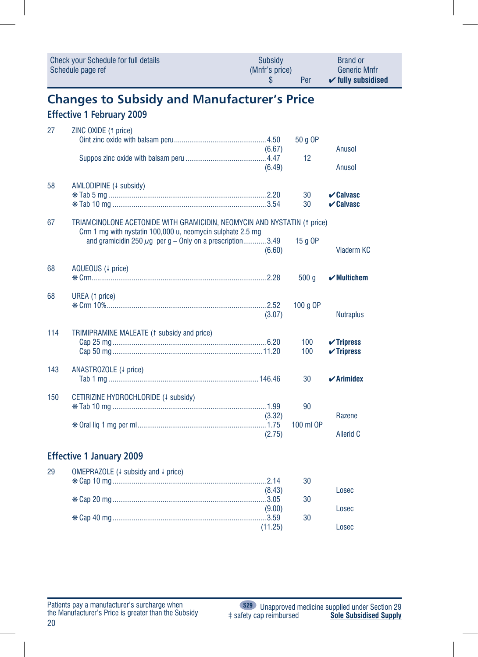| Check your Schedule for full details | Subsidy        | <b>Brand or</b>                       |
|--------------------------------------|----------------|---------------------------------------|
| Schedule page ref                    | (Mnfr's price) | <b>Generic Mnfr</b>                   |
|                                      | Per            | $\mathbf{\check{v}}$ fully subsidised |

# **Changes to Subsidy and Manufacturer's Price**

### **Effective 1 February 2009**

| 27  | ZINC OXIDE (1 price)                                                                                                                   |                   | 50 g OP    |                                                          |
|-----|----------------------------------------------------------------------------------------------------------------------------------------|-------------------|------------|----------------------------------------------------------|
|     |                                                                                                                                        | (6.67)            |            | Anusol                                                   |
|     |                                                                                                                                        | (6.49)            | 12         | Anusol                                                   |
| 58  | AMLODIPINE (4 subsidy)                                                                                                                 |                   | 30<br>30   | $\boldsymbol{\nu}$ Calvasc<br>$\boldsymbol{\nu}$ Calvasc |
| 67  | TRIAMCINOLONE ACETONIDE WITH GRAMICIDIN, NEOMYCIN AND NYSTATIN (1 price)<br>Crm 1 mg with nystatin 100,000 u, neomycin sulphate 2.5 mg |                   |            |                                                          |
|     | and gramicidin 250 $\mu$ g per g – Only on a prescription3.49                                                                          | (6.60)            | 15 g OP    | <b>Viaderm KC</b>                                        |
| 68  | AQUEOUS (4 price)                                                                                                                      |                   | 500 g      | $\boldsymbol{\checkmark}$ Multichem                      |
| 68  | UREA (1 price)                                                                                                                         | (3.07)            | 100 g OP   | <b>Nutraplus</b>                                         |
| 114 | TRIMIPRAMINE MALEATE (1 subsidy and price)                                                                                             |                   | 100<br>100 | $\checkmark$ Tripress<br>$\checkmark$ Tripress           |
| 143 | ANASTROZOLE (+ price)                                                                                                                  |                   | 30         | $\boldsymbol{\checkmark}$ Arimidex                       |
| 150 | CETIRIZINE HYDROCHLORIDE (+ subsidy)                                                                                                   | (3.32)            | 90         | Razene                                                   |
|     |                                                                                                                                        | (2.75)            | 100 ml OP  | <b>Allerid C</b>                                         |
|     | <b>Effective 1 January 2009</b>                                                                                                        |                   |            |                                                          |
| 29  | OMEPRAZOLE (↓ subsidy and ↓ price)                                                                                                     |                   | 30         |                                                          |
|     |                                                                                                                                        | (8.43)            | 30         | Losec                                                    |
|     |                                                                                                                                        | (9.00)<br>(11.25) | 30         | Losec<br>Losec                                           |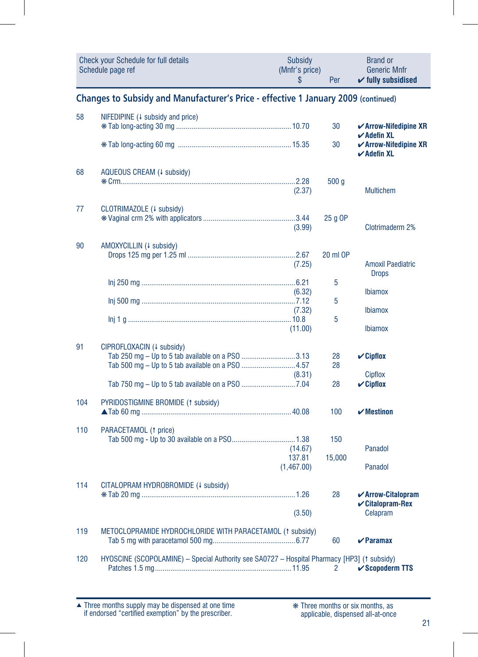|     | <b>Check your Schedule for full details</b><br>Schedule page ref                            | <b>Subsidy</b><br>(Mnfr's price)<br>\$ | Per            | <b>Brand or</b><br><b>Generic Mnfr</b><br>$\checkmark$ fully subsidised  |  |  |  |  |
|-----|---------------------------------------------------------------------------------------------|----------------------------------------|----------------|--------------------------------------------------------------------------|--|--|--|--|
|     | Changes to Subsidy and Manufacturer's Price - effective 1 January 2009 (continued)          |                                        |                |                                                                          |  |  |  |  |
| 58  | NIFEDIPINE $(1)$ subsidy and price)                                                         |                                        | 30             | $\checkmark$ Arrow-Nifedipine XR<br>$\boldsymbol{\checkmark}$ Adefin XL  |  |  |  |  |
|     |                                                                                             |                                        | 30             | $\checkmark$ Arrow-Nifedipine XR<br>$\boldsymbol{\checkmark}$ Adefin XL  |  |  |  |  |
| 68  | AQUEOUS CREAM (+ subsidy)                                                                   | (2.37)                                 | 500q           | <b>Multichem</b>                                                         |  |  |  |  |
| 77  | CLOTRIMAZOLE (4 subsidy)                                                                    | (3.99)                                 | 25 g OP        | Clotrimaderm 2%                                                          |  |  |  |  |
| 90  | AMOXYCILLIN (4 subsidy)                                                                     | (7.25)                                 | 20 ml OP       | <b>Amoxil Paediatric</b><br><b>Drops</b>                                 |  |  |  |  |
|     |                                                                                             | (6.32)                                 | 5              | <b>Ibiamox</b>                                                           |  |  |  |  |
|     |                                                                                             | (7.32)<br>(11.00)                      | 5<br>5         | <b>Ibiamox</b><br><b>Ibiamox</b>                                         |  |  |  |  |
| 91  | CIPROFLOXACIN (+ subsidy)<br>Tab 250 mg – Up to 5 tab available on a PSO 3.13               | (8.31)                                 | 28<br>28       | $\mathbf{\check{C}}$ ipflox<br><b>Cipflox</b>                            |  |  |  |  |
|     |                                                                                             |                                        | 28             | $\mathcal V$ Cipflox                                                     |  |  |  |  |
| 104 | PYRIDOSTIGMINE BROMIDE (1 subsidy)                                                          |                                        | 100            | $\boldsymbol{\checkmark}$ Mestinon                                       |  |  |  |  |
| 110 | PARACETAMOL (1 price)                                                                       | (14.67)<br>137.81<br>(1,467.00)        | 150<br>15,000  | Panadol<br>Panadol                                                       |  |  |  |  |
| 114 | CITALOPRAM HYDROBROMIDE (4 subsidy)                                                         | (3.50)                                 | 28             | $\checkmark$ Arrow-Citalopram<br>$\mathcal V$ Citalopram-Rex<br>Celapram |  |  |  |  |
| 119 | METOCLOPRAMIDE HYDROCHLORIDE WITH PARACETAMOL (1 subsidy)                                   |                                        | 60             | $\boldsymbol{\nu}$ Paramax                                               |  |  |  |  |
| 120 | HYOSCINE (SCOPOLAMINE) - Special Authority see SA0727 - Hospital Pharmacy [HP3] († subsidy) |                                        | $\overline{2}$ | $\checkmark$ Scopoderm TTS                                               |  |  |  |  |

Three months supply may be dispensed at one time if endorsed "certified exemption" by the prescriber. ▲ ❋ Three months or six months, as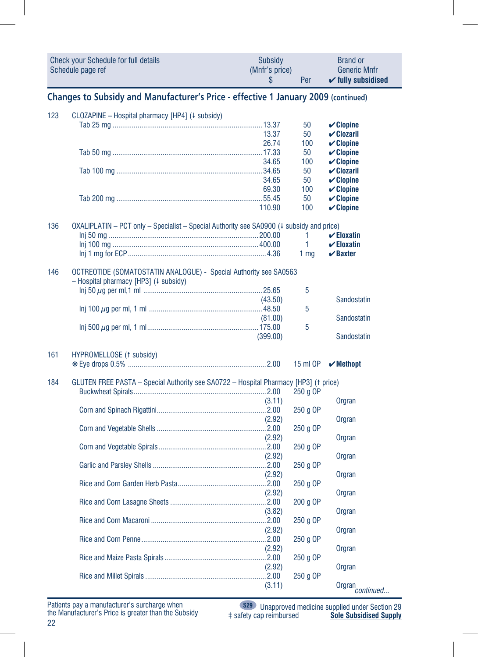|                                                                                    | <b>Check your Schedule for full details</b><br>Schedule page ref                                           | Subsidy<br>(Mnfr's price)<br>S | Per                         | <b>Brand or</b><br><b>Generic Mnfr</b><br>$\checkmark$ fully subsidised |  |  |
|------------------------------------------------------------------------------------|------------------------------------------------------------------------------------------------------------|--------------------------------|-----------------------------|-------------------------------------------------------------------------|--|--|
| Changes to Subsidy and Manufacturer's Price - effective 1 January 2009 (continued) |                                                                                                            |                                |                             |                                                                         |  |  |
| 123                                                                                | CLOZAPINE - Hospital pharmacy [HP4] (+ subsidy)                                                            | 13.37                          | 50<br>50                    | $\mathcal V$ Clopine<br>$V$ Clozaril                                    |  |  |
|                                                                                    |                                                                                                            | 26.74<br>34.65                 | 100<br>50<br>100            | $\mathcal V$ Clopine<br>$\mathcal V$ Clopine<br>$\mathcal V$ Clopine    |  |  |
|                                                                                    |                                                                                                            | 34.65<br>69.30                 | 50<br>50<br>100             | $V$ Clozaril<br>$\mathcal V$ Clopine<br>$\mathcal V$ Clopine            |  |  |
|                                                                                    |                                                                                                            | 110.90                         | 50<br>100                   | $\mathcal V$ Clopine<br>$\checkmark$ Clopine                            |  |  |
| 136                                                                                | OXALIPLATIN - PCT only - Specialist - Special Authority see SA0900 (4 subsidy and price)                   |                                | 1.<br>1.<br>1 <sub>mq</sub> | $\checkmark$ Eloxatin<br>$\checkmark$ Eloxatin<br>$\vee$ Baxter         |  |  |
| 146                                                                                | OCTREOTIDE (SOMATOSTATIN ANALOGUE) - Special Authority see SA0563<br>- Hospital pharmacy [HP3] (+ subsidy) |                                |                             |                                                                         |  |  |
|                                                                                    |                                                                                                            | (43.50)                        | 5<br>5                      | Sandostatin                                                             |  |  |
|                                                                                    |                                                                                                            | (81.00)<br>(399.00)            | 5                           | Sandostatin<br>Sandostatin                                              |  |  |
| 161                                                                                | HYPROMELLOSE (1 subsidy)                                                                                   |                                | 15 ml OP                    | $\boldsymbol{\checkmark}$ Methopt                                       |  |  |
| 184                                                                                | GLUTEN FREE PASTA - Special Authority see SA0722 - Hospital Pharmacy [HP3] (1 price)                       |                                | 250 g OP                    |                                                                         |  |  |
|                                                                                    |                                                                                                            | (3.11)<br>(2.92)               | 250 g OP                    | Orgran<br>Orgran                                                        |  |  |
|                                                                                    |                                                                                                            | (2.92)                         | 250 g OP<br>250 g OP        | Orgran                                                                  |  |  |
|                                                                                    |                                                                                                            | (2.92)<br>(2.92)               | 250 g OP                    | Orgran<br>Orgran                                                        |  |  |
|                                                                                    |                                                                                                            | (2.92)                         | 250 g OP                    | Orgran                                                                  |  |  |
|                                                                                    |                                                                                                            | (3.82)                         | 200 g OP<br>250 g OP        | Orgran                                                                  |  |  |
|                                                                                    |                                                                                                            | (2.92)<br>(2.92)               | 250 g OP                    | <b>Orgran</b><br>Orgran                                                 |  |  |
|                                                                                    |                                                                                                            | (2.92)                         | 250 g OP<br>250 g OP        | <b>Orgran</b>                                                           |  |  |
|                                                                                    |                                                                                                            | (3.11)                         |                             | Orgran <sub>continued</sub>                                             |  |  |

Patients pay a manufacturer's surcharge when the Manufacturer's Price is greater than the Subsidy

**S29** Unapproved medicine supplied under Section 29 ‡ safety cap reimbursed **Sole Subsidised Supply**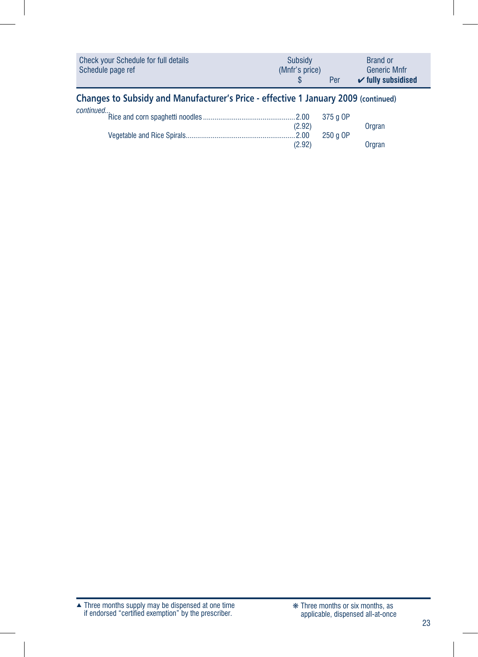| Check your Schedule for full details | <b>Subsidy</b> | <b>Brand or</b>               |
|--------------------------------------|----------------|-------------------------------|
| Schedule page ref                    | (Mnfr's price) | Generic Mnfr                  |
|                                      | Per            | $\checkmark$ fully subsidised |

### **Changes to Subsidy and Manufacturer's Price - effective 1 January 2009 (continued)**

| continued |        |
|-----------|--------|
|           |        |
| (2.92)    | Orgran |
|           |        |
| (2.92)    | Orgran |

Three months supply may be dispensed at one time if endorsed "certified exemption" by the prescriber. ▲ ❋ Three months or six months, as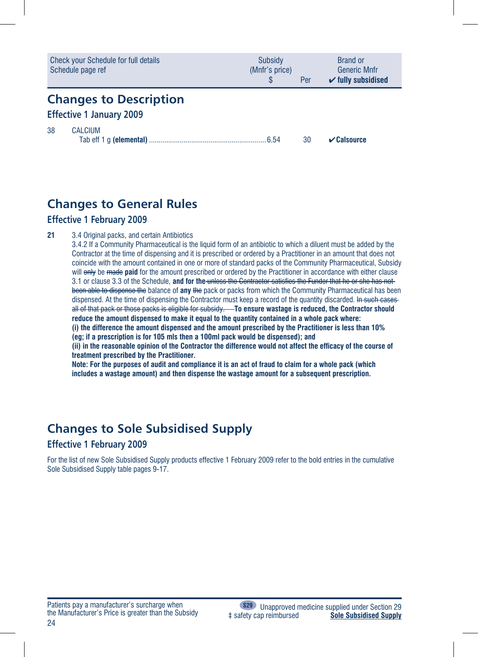|                                                                  | <b>Check your Schedule for full details</b><br>Schedule page ref | Subsidy<br>(Mnfr's price) | Per | Brand or<br><b>Generic Mnfr</b><br>$\checkmark$ fully subsidised |
|------------------------------------------------------------------|------------------------------------------------------------------|---------------------------|-----|------------------------------------------------------------------|
| <b>Changes to Description</b><br><b>Effective 1 January 2009</b> |                                                                  |                           |     |                                                                  |
| 38                                                               | <b>CALCIUM</b>                                                   |                           | 30  | $\vee$ Calsource                                                 |

### **Changes to General Rules**

#### **Effective 1 February 2009**

21 3.4 Original packs, and certain Antibiotics

3.4.2 If a Community Pharmaceutical is the liquid form of an antibiotic to which a diluent must be added by the Contractor at the time of dispensing and it is prescribed or ordered by a Practitioner in an amount that does not coincide with the amount contained in one or more of standard packs of the Community Pharmaceutical, Subsidy will only be made **paid** for the amount prescribed or ordered by the Practitioner in accordance with either clause 3.1 or clause 3.3 of the Schedule, **and for the** unless the Contractor satisfies the Funder that he or she has not been able to dispense the balance of **any** the pack or packs from which the Community Pharmaceutical has been dispensed. At the time of dispensing the Contractor must keep a record of the quantity discarded. In such cases all of that pack or those packs is eligible for subsidy. **To ensure wastage is reduced, the Contractor should reduce the amount dispensed to make it equal to the quantity contained in a whole pack where: (i) the difference the amount dispensed and the amount prescribed by the Practitioner is less than 10% (eg; if a prescription is for 105 mls then a 100ml pack would be dispensed); and (ii) in the reasonable opinion of the Contractor the difference would not affect the efficacy of the course of** 

**treatment prescribed by the Practitioner.** 

**Note: For the purposes of audit and compliance it is an act of fraud to claim for a whole pack (which includes a wastage amount) and then dispense the wastage amount for a subsequent prescription.**

## **Changes to Sole Subsidised Supply**

### **Effective 1 February 2009**

For the list of new Sole Subsidised Supply products effective 1 February 2009 refer to the bold entries in the cumulative Sole Subsidised Supply table pages 9-17.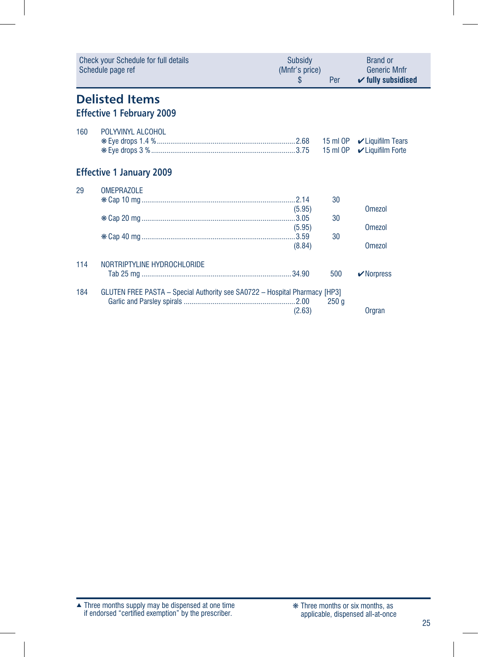|     | <b>Check your Schedule for full details</b><br>Schedule page ref           | Subsidy<br>(Mnfr's price)<br>S | Per              | <b>Brand or</b><br><b>Generic Mnfr</b><br>$\checkmark$ fully subsidised |
|-----|----------------------------------------------------------------------------|--------------------------------|------------------|-------------------------------------------------------------------------|
|     | <b>Delisted Items</b><br><b>Effective 1 February 2009</b>                  |                                |                  |                                                                         |
| 160 | POLYVINYL ALCOHOL                                                          |                                |                  | $\mathcal V$ Liquifilm Forte                                            |
|     | <b>Effective 1 January 2009</b>                                            |                                |                  |                                                                         |
| 29  | <b>OMEPRAZOLE</b>                                                          |                                | 30               |                                                                         |
|     |                                                                            | (5.95)                         | 30               | Omezol                                                                  |
|     |                                                                            | (5.95)                         |                  | Omezol                                                                  |
|     |                                                                            | (8.84)                         | 30               | <b>Omezol</b>                                                           |
| 114 | NORTRIPTYLINE HYDROCHLORIDE                                                |                                |                  |                                                                         |
|     |                                                                            |                                | 500              | $\vee$ Norpress                                                         |
| 184 | GLUTEN FREE PASTA – Special Authority see SA0722 – Hospital Pharmacy [HP3] | (2.63)                         | 250 <sub>g</sub> | Orgran                                                                  |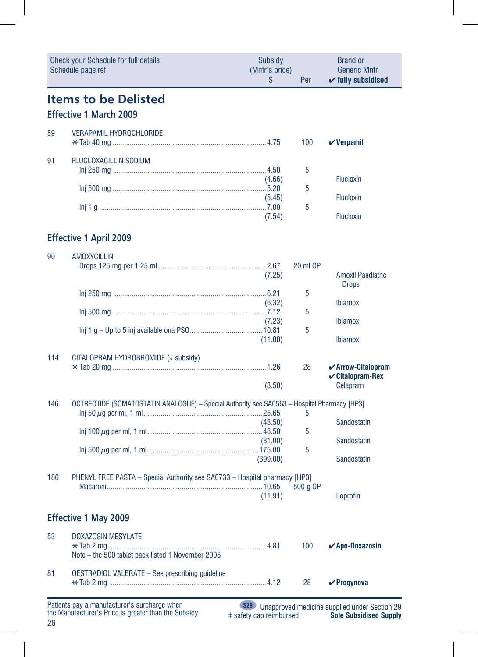| Check your Schedule for full details<br>Schedule page ref |                                                                                             | Subsidy<br>(Mnfr's price)<br>S | Per      | <b>Brand or</b><br><b>Generic Mnfr</b><br>$\checkmark$ fully subsidised |
|-----------------------------------------------------------|---------------------------------------------------------------------------------------------|--------------------------------|----------|-------------------------------------------------------------------------|
|                                                           | <b>Items to be Delisted</b><br><b>Effective 1 March 2009</b>                                |                                |          |                                                                         |
| 59                                                        | <b>VERAPAMIL HYDROCHLORIDE</b>                                                              |                                | 100      | $\boldsymbol{\mathsf{v}}$ Verpamil                                      |
| 91                                                        | <b>FLUCLOXACILLIN SODIUM</b>                                                                |                                | 5        |                                                                         |
|                                                           |                                                                                             | (4.66)<br>(5.45)               | 5        | <b>Flucloxin</b><br><b>Flucloxin</b>                                    |
|                                                           |                                                                                             | (7.54)                         | 5        | <b>Flucloxin</b>                                                        |
|                                                           | <b>Effective 1 April 2009</b>                                                               |                                |          |                                                                         |
| 90                                                        | <b>AMOXYCILLIN</b>                                                                          | (7.25)                         | 20 ml OP | <b>Amoxil Paediatric</b><br><b>Drops</b>                                |
|                                                           |                                                                                             | (6.32)                         | 5        | <b>Ibiamox</b>                                                          |
|                                                           |                                                                                             | (7.23)                         | 5<br>5   | <b>Ibiamox</b>                                                          |
|                                                           |                                                                                             | (11.00)                        |          | <b>Ibiamox</b>                                                          |
| 114                                                       | CITALOPRAM HYDROBROMIDE (+ subsidy)                                                         | (3.50)                         | 28       | $\checkmark$ Arrow-Citalopram<br><b>√Citalopram-Rex</b><br>Celapram     |
| 146                                                       | OCTREOTIDE (SOMATOSTATIN ANALOGUE) - Special Authority see SA0563 - Hospital Pharmacy [HP3] |                                | 5        |                                                                         |
|                                                           |                                                                                             | (43.50)<br>(81.00)             | 5        | Sandostatin<br>Sandostatin                                              |
|                                                           |                                                                                             | (399.00)                       | 5        | Sandostatin                                                             |
| 186                                                       | PHENYL FREE PASTA - Special Authority see SA0733 - Hospital pharmacy [HP3]                  | (11.91)                        | 500 g OP | Loprofin                                                                |
|                                                           | <b>Effective 1 May 2009</b>                                                                 |                                |          |                                                                         |
| 53                                                        | <b>DOXAZOSIN MESYLATE</b><br>Note - the 500 tablet pack listed 1 November 2008              |                                | 100      | <u> ∕ Apo-Doxazosin</u>                                                 |
| 81                                                        | <b>OESTRADIOL VALERATE - See prescribing guideline</b>                                      |                                | 28       | $\checkmark$ Progynova                                                  |

26 Patients pay a manufacturer's surcharge when the Manufacturer's Price is greater than the Subsidy

**S29** Unapproved medicine supplied under Section 29 ‡ safety cap reimbursed **Sole Subsidised Supply**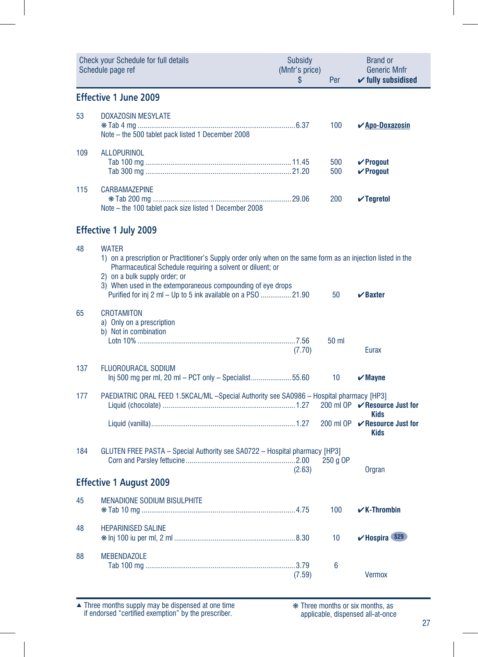|     | <b>Check your Schedule for full details</b><br>Schedule page ref                                                                                                                                                                                                                                                                                           | Subsidy<br>(Mnfr's price)<br>\$ | Per             | <b>Brand or</b><br><b>Generic Mnfr</b><br>$\checkmark$ fully subsidised |
|-----|------------------------------------------------------------------------------------------------------------------------------------------------------------------------------------------------------------------------------------------------------------------------------------------------------------------------------------------------------------|---------------------------------|-----------------|-------------------------------------------------------------------------|
|     | Effective 1 June 2009                                                                                                                                                                                                                                                                                                                                      |                                 |                 |                                                                         |
| 53  | <b>DOXAZOSIN MESYLATE</b><br>Note - the 500 tablet pack listed 1 December 2008                                                                                                                                                                                                                                                                             |                                 | 100             | <b>∠Apo-Doxazosin</b>                                                   |
| 109 | <b>ALLOPURINOL</b>                                                                                                                                                                                                                                                                                                                                         |                                 | 500<br>500      | $V$ Progout<br>$V$ Progout                                              |
| 115 | <b>CARBAMAZEPINE</b><br>Note – the 100 tablet pack size listed 1 December 2008                                                                                                                                                                                                                                                                             |                                 | 200             | $\sqrt{}$ Tegretol                                                      |
|     | <b>Effective 1 July 2009</b>                                                                                                                                                                                                                                                                                                                               |                                 |                 |                                                                         |
| 48  | <b>WATER</b><br>1) on a prescription or Practitioner's Supply order only when on the same form as an injection listed in the<br>Pharmaceutical Schedule requiring a solvent or diluent; or<br>2) on a bulk supply order; or<br>3) When used in the extemporaneous compounding of eye drops<br>Purified for inj 2 ml - Up to 5 ink available on a PSO 21.90 |                                 | 50              | $\boldsymbol{\nu}$ Baxter                                               |
| 65  | <b>CROTAMITON</b><br>a) Only on a prescription<br>b) Not in combination                                                                                                                                                                                                                                                                                    | (7.70)                          | 50 ml           | <b>Eurax</b>                                                            |
| 137 | <b>FLUOROURACIL SODIUM</b><br>Inj 500 mg per ml, 20 ml – PCT only – Specialist55.60                                                                                                                                                                                                                                                                        |                                 | 10 <sup>°</sup> | $\boldsymbol{\mathsf{v}}$ Mayne                                         |
| 177 | PAEDIATRIC ORAL FEED 1.5KCAL/ML -Special Authority see SA0986 - Hospital pharmacy [HP3]                                                                                                                                                                                                                                                                    |                                 |                 | 200 ml OP <b>V</b> Resource Just for<br>Kids                            |
|     |                                                                                                                                                                                                                                                                                                                                                            |                                 |                 | 200 ml OP <b>V</b> Resource Just for<br><b>Kids</b>                     |
| 184 | GLUTEN FREE PASTA - Special Authority see SA0722 - Hospital pharmacy [HP3]                                                                                                                                                                                                                                                                                 | (2.63)                          | 250 a OP        | Orgran                                                                  |
|     | <b>Effective 1 August 2009</b>                                                                                                                                                                                                                                                                                                                             |                                 |                 |                                                                         |
| 45  | <b>MENADIONE SODIUM BISULPHITE</b>                                                                                                                                                                                                                                                                                                                         |                                 | 100             | $\mathcal{V}$ K-Thrombin                                                |
| 48  | <b>HEPARINISED SALINE</b>                                                                                                                                                                                                                                                                                                                                  |                                 | 10              | Buy Hospira S29                                                         |
| 88  | <b>MEBENDAZOLE</b>                                                                                                                                                                                                                                                                                                                                         | (7.59)                          | 6               | <b>Vermox</b>                                                           |

Three months supply may be dispensed at one time if endorsed "certified exemption" by the prescriber. ▲ ❋ Three months or six months, as

applicable, dispensed all-at-once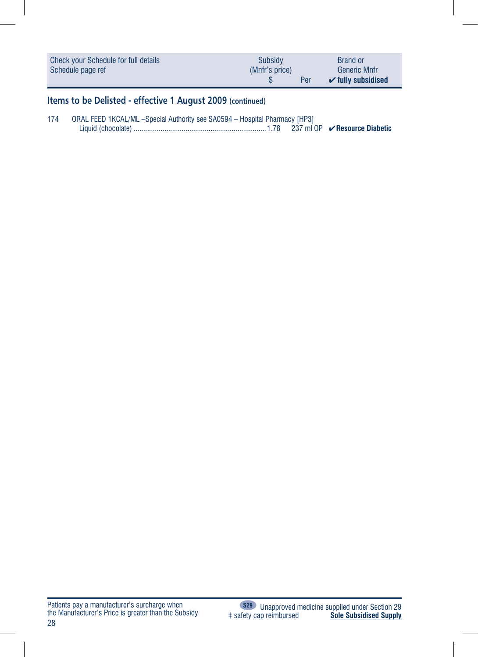| Check your Schedule for full details | Subsidy        | <b>Brand or</b>                       |
|--------------------------------------|----------------|---------------------------------------|
| Schedule page ref                    | (Mnfr's price) | <b>Generic Mnfr</b>                   |
|                                      | Per            | $\mathbf{\check{v}}$ fully subsidised |

### **Items to be Delisted - effective 1 August 2009 (continued)**

| 174 | ORAL FEED 1KCAL/ML -Special Authority see SA0594 - Hospital Pharmacy [HP3] |  |
|-----|----------------------------------------------------------------------------|--|
|     |                                                                            |  |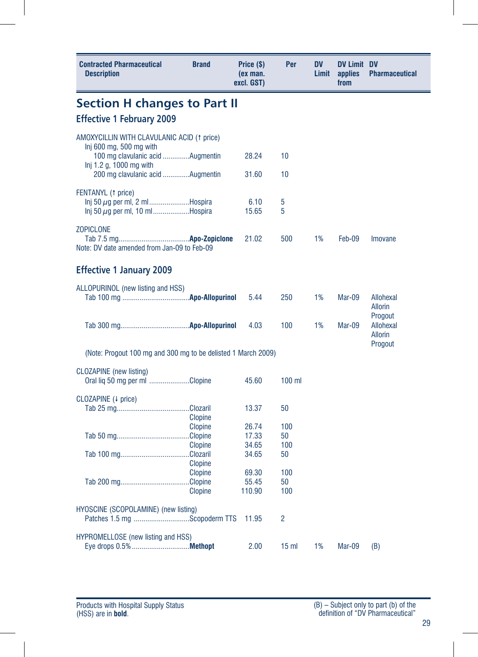| <b>Contracted Pharmaceutical</b><br><b>Description</b>                            | <b>Brand</b>   | Price (\$)<br>(ex man.<br>excl. GST) | Per             | <b>DV</b><br>Limit | <b>DV Limit DV</b><br>applies<br>from | <b>Pharmaceutical</b>       |
|-----------------------------------------------------------------------------------|----------------|--------------------------------------|-----------------|--------------------|---------------------------------------|-----------------------------|
| <b>Section H changes to Part II</b>                                               |                |                                      |                 |                    |                                       |                             |
| <b>Effective 1 February 2009</b>                                                  |                |                                      |                 |                    |                                       |                             |
| AMOXYCILLIN WITH CLAVULANIC ACID († price)                                        |                |                                      |                 |                    |                                       |                             |
| Inj 600 mg, 500 mg with<br>100 mg clavulanic acid Augmentin                       |                | 28.24                                | 10              |                    |                                       |                             |
| Inj 1.2 g, 1000 mg with                                                           |                |                                      |                 |                    |                                       |                             |
| 200 mg clavulanic acid Augmentin                                                  |                | 31.60                                | 10              |                    |                                       |                             |
| FENTANYL (1 price)                                                                |                |                                      |                 |                    |                                       |                             |
| $\ln j$ 50 $\mu$ g per ml, 2 mlHospira<br>$\ln i$ 50 $\mu$ q per ml, 10 mlHospira |                | 6.10<br>15.65                        | 5<br>5          |                    |                                       |                             |
| <b>ZOPICLONE</b>                                                                  |                |                                      |                 |                    |                                       |                             |
|                                                                                   |                | 21.02                                | 500             | 1%                 | Feb-09                                | Imovane                     |
| Note: DV date amended from Jan-09 to Feb-09                                       |                |                                      |                 |                    |                                       |                             |
| <b>Effective 1 January 2009</b>                                                   |                |                                      |                 |                    |                                       |                             |
| ALLOPURINOL (new listing and HSS)                                                 |                |                                      |                 |                    |                                       |                             |
|                                                                                   |                | 5.44                                 | 250             | 1%                 | Mar-09                                | Allohexal<br><b>Allorin</b> |
|                                                                                   |                |                                      |                 |                    |                                       | Progout                     |
|                                                                                   |                | 4.03                                 | 100             | 1%                 | Mar-09                                | Allohexal<br><b>Allorin</b> |
| (Note: Progout 100 mg and 300 mg to be delisted 1 March 2009)                     |                |                                      |                 |                    |                                       | Progout                     |
|                                                                                   |                |                                      |                 |                    |                                       |                             |
| CLOZAPINE (new listing)<br>Oral lig 50 mg per ml Clopine                          |                | 45.60                                | $100$ ml        |                    |                                       |                             |
|                                                                                   |                |                                      |                 |                    |                                       |                             |
| CLOZAPINE (4 price)                                                               |                | 13.37                                | 50              |                    |                                       |                             |
|                                                                                   | <b>Clopine</b> |                                      |                 |                    |                                       |                             |
|                                                                                   | <b>Clopine</b> | 26.74                                | 100             |                    |                                       |                             |
|                                                                                   |                | 17.33                                | 50              |                    |                                       |                             |
|                                                                                   | <b>Clopine</b> | 34.65                                | 100             |                    |                                       |                             |
|                                                                                   |                | 34.65                                | 50              |                    |                                       |                             |
|                                                                                   | <b>Clopine</b> |                                      |                 |                    |                                       |                             |
|                                                                                   | <b>Clopine</b> | 69.30                                | 100             |                    |                                       |                             |
|                                                                                   |                | 55.45                                | 50              |                    |                                       |                             |
|                                                                                   | Clopine        | 110.90                               | 100             |                    |                                       |                             |
| HYOSCINE (SCOPOLAMINE) (new listing)                                              |                |                                      |                 |                    |                                       |                             |
| Patches 1.5 mg Scopoderm TTS                                                      |                | 11.95                                | 2               |                    |                                       |                             |
| <b>HYPROMELLOSE</b> (new listing and HSS)                                         |                |                                      |                 |                    |                                       |                             |
|                                                                                   |                | 2.00                                 | 15 <sub>m</sub> | 1%                 | Mar-09                                | (B)                         |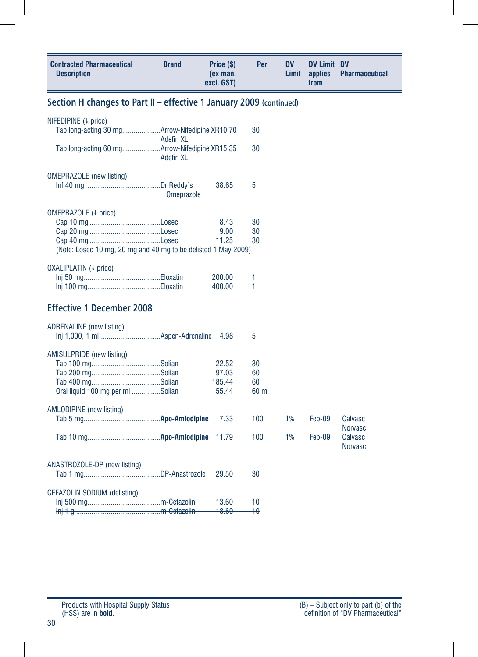| <b>Contracted Pharmaceutical</b><br><b>Description</b>              | <b>Brand</b>      | Price (\$)<br>(ex man.<br>excl. GST) | Per             | <b>DV</b><br>Limit | <b>DV Limit DV</b><br>applies<br>from | <b>Pharmaceutical</b>     |
|---------------------------------------------------------------------|-------------------|--------------------------------------|-----------------|--------------------|---------------------------------------|---------------------------|
| Section H changes to Part II - effective 1 January 2009 (continued) |                   |                                      |                 |                    |                                       |                           |
| NIFEDIPINE (↓ price)                                                |                   |                                      |                 |                    |                                       |                           |
|                                                                     | <b>Adefin XL</b>  |                                      | 30              |                    |                                       |                           |
| Tab long-acting 60 mgArrow-Nifedipine XR15.35                       | <b>Adefin XL</b>  |                                      | 30              |                    |                                       |                           |
| <b>OMEPRAZOLE</b> (new listing)                                     |                   |                                      |                 |                    |                                       |                           |
|                                                                     | <b>Omeprazole</b> | 38.65                                | 5               |                    |                                       |                           |
| OMEPRAZOLE (4 price)                                                |                   |                                      |                 |                    |                                       |                           |
|                                                                     |                   | 8.43                                 | 30              |                    |                                       |                           |
|                                                                     |                   | 9.00                                 | 30              |                    |                                       |                           |
| (Note: Losec 10 mg, 20 mg and 40 mg to be delisted 1 May 2009)      |                   | 11.25                                | 30              |                    |                                       |                           |
|                                                                     |                   |                                      |                 |                    |                                       |                           |
| OXALIPLATIN (4 price)                                               |                   |                                      |                 |                    |                                       |                           |
|                                                                     |                   | 200.00                               | 1               |                    |                                       |                           |
|                                                                     |                   | 400.00                               | 1               |                    |                                       |                           |
| <b>Effective 1 December 2008</b>                                    |                   |                                      |                 |                    |                                       |                           |
| <b>ADRENALINE</b> (new listing)                                     |                   |                                      |                 |                    |                                       |                           |
|                                                                     |                   | 4.98                                 | 5               |                    |                                       |                           |
| <b>AMISULPRIDE</b> (new listing)                                    |                   |                                      |                 |                    |                                       |                           |
|                                                                     |                   | 22.52                                | 30              |                    |                                       |                           |
|                                                                     |                   | 97.03                                | 60              |                    |                                       |                           |
|                                                                     |                   | 185.44                               | 60              |                    |                                       |                           |
| Oral liquid 100 mg per ml Solian                                    |                   | 55.44                                | 60 ml           |                    |                                       |                           |
| <b>AMLODIPINE</b> (new listing)                                     |                   |                                      |                 |                    |                                       |                           |
|                                                                     |                   | 7.33                                 | 100             | 1%                 | Feb-09                                | Calvasc                   |
|                                                                     |                   | 11.79                                | 100             | 1%                 | Feb-09                                | <b>Norvasc</b><br>Calvasc |
|                                                                     |                   |                                      |                 |                    |                                       | <b>Norvasc</b>            |
|                                                                     |                   |                                      |                 |                    |                                       |                           |
| ANASTROZOLE-DP (new listing)                                        |                   | 29.50                                | 30              |                    |                                       |                           |
|                                                                     |                   |                                      |                 |                    |                                       |                           |
| <b>CEFAZOLIN SODIUM (delisting)</b>                                 |                   |                                      |                 |                    |                                       |                           |
|                                                                     |                   | <del>- 13.60 -</del>                 | $\rightarrow 0$ |                    |                                       |                           |
|                                                                     |                   | $-18.60-$                            | $-10$           |                    |                                       |                           |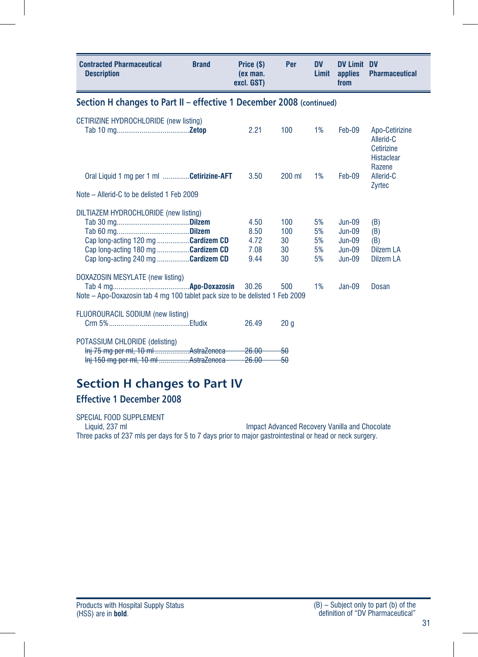| <b>Contracted Pharmaceutical</b><br><b>Description</b>                                                                                                  | <b>Brand</b> | Price (\$)<br>(ex man.<br>excl. GST) | Per                          | <b>DV</b><br>Limit         | <b>DV Limit DV</b><br>applies<br>from                    | <b>Pharmaceutical</b>                                          |
|---------------------------------------------------------------------------------------------------------------------------------------------------------|--------------|--------------------------------------|------------------------------|----------------------------|----------------------------------------------------------|----------------------------------------------------------------|
| Section H changes to Part II - effective 1 December 2008 (continued)                                                                                    |              |                                      |                              |                            |                                                          |                                                                |
| CETIRIZINE HYDROCHLORIDE (new listing)                                                                                                                  |              | 2.21                                 | 100                          | 1%                         | Feb-09                                                   | Apo-Cetirizine<br>Allerid-C<br>Cetirizine<br><b>Histaclear</b> |
| Oral Liquid 1 mg per 1 ml Cetirizine-AFT<br>Note – Allerid-C to be delisted 1 Feb 2009                                                                  |              | 3.50                                 | $200$ ml                     | 1%                         | Feb-09                                                   | Razene<br>Allerid-C<br>Zyrtec                                  |
|                                                                                                                                                         |              |                                      |                              |                            |                                                          |                                                                |
| DILTIAZEM HYDROCHLORIDE (new listing)<br>Cap long-acting 120 mg Cardizem CD<br>Cap long-acting 180 mg Cardizem CD<br>Cap long-acting 240 mg Cardizem CD |              | 4.50<br>8.50<br>4.72<br>7.08<br>9.44 | 100<br>100<br>30<br>30<br>30 | 5%<br>5%<br>5%<br>5%<br>5% | $Jun-09$<br>$Jun-09$<br>$Jun-09$<br>$Jun-09$<br>$Jun-09$ | (B)<br>(B)<br>(B)<br>Dilzem LA<br><b>Dilzem LA</b>             |
| DOXAZOSIN MESYLATE (new listing)<br>Note – Apo-Doxazosin tab 4 mg 100 tablet pack size to be delisted 1 Feb 2009                                        |              | 30.26                                | 500                          | 1%                         | $Jan-09$                                                 | Dosan                                                          |
| FLUOROURACIL SODIUM (new listing)                                                                                                                       |              | 26.49                                | 20 <sub>a</sub>              |                            |                                                          |                                                                |
| POTASSIUM CHLORIDE (delisting)<br>Inj 75 mg per ml, 10 ml AstraZeneca<br>Inj 150 mg per ml, 10 ml AstraZeneca                                           |              | 26.00<br>26.00                       | 50<br>50                     |                            |                                                          |                                                                |

### **Section H changes to Part IV**

### **Effective 1 December 2008**

SPECIAL FOOD SUPPLEMENT<br>Liquid, 237 ml Impact Advanced Recovery Vanilla and Chocolate Three packs of 237 mls per days for 5 to 7 days prior to major gastrointestinal or head or neck surgery.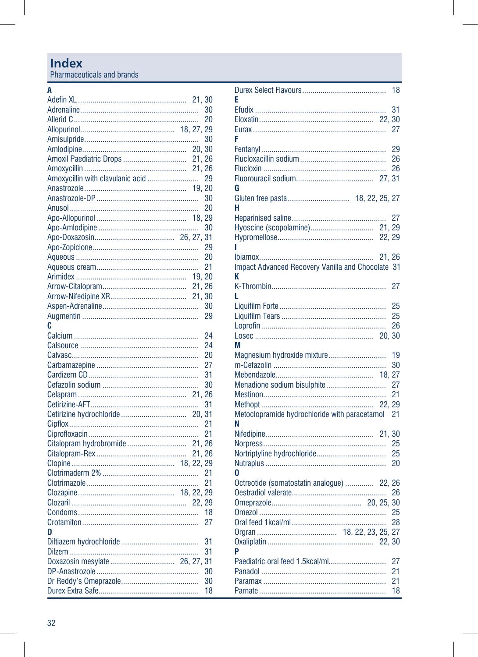Pharmaceuticals and brands

#### $\overline{A}$

|                                  | 21, 30 |                 |
|----------------------------------|--------|-----------------|
|                                  |        | 30              |
|                                  |        | 20              |
|                                  |        |                 |
|                                  |        | 30              |
|                                  |        |                 |
| Amoxil Paediatric Drops  21, 26  |        |                 |
|                                  | 21, 26 |                 |
| Amoxycillin with clavulanic acid |        | 29              |
|                                  |        |                 |
|                                  |        | 30              |
|                                  |        | 20              |
|                                  |        |                 |
|                                  |        | 30              |
|                                  |        |                 |
|                                  |        | 29              |
|                                  |        | 20              |
|                                  |        | 21              |
|                                  | 19.20  |                 |
|                                  | 21, 26 |                 |
|                                  |        |                 |
|                                  |        |                 |
|                                  |        | 30              |
|                                  |        | 29              |
| C                                |        |                 |
|                                  |        | $\overline{24}$ |
|                                  |        | 24              |
|                                  |        | 20              |
|                                  |        | 27              |
|                                  |        | 31              |
|                                  |        | 30              |
|                                  |        |                 |
|                                  |        | 31              |
|                                  | 20, 31 |                 |
|                                  |        | 21              |
|                                  |        | 21              |
| Citalopram hydrobromide          | 21, 26 |                 |
|                                  | 21, 26 |                 |
|                                  |        |                 |
|                                  |        | 21              |
|                                  |        | 21              |
|                                  |        |                 |
|                                  |        |                 |
|                                  |        | 18              |
|                                  |        | 27              |
| n                                |        |                 |
|                                  |        | 31              |
|                                  |        | 31              |
| Doxazosin mesylate  26, 27, 31   |        |                 |
|                                  |        | 30              |
|                                  |        | 30              |
|                                  |        | 18              |
|                                  |        |                 |

| F                                                        | 18     |
|----------------------------------------------------------|--------|
|                                                          | 31     |
|                                                          |        |
|                                                          | 27     |
| F                                                        |        |
|                                                          | 29     |
|                                                          | 26     |
|                                                          | 26     |
|                                                          |        |
| G                                                        |        |
| Gluten free pasta 18, 22, 25, 27                         |        |
| н                                                        |        |
|                                                          |        |
|                                                          |        |
| ı                                                        |        |
|                                                          | 21, 26 |
| <b>Impact Advanced Recovery Vanilla and Chocolate 31</b> |        |
| K                                                        |        |
|                                                          | 27     |
| L                                                        |        |
|                                                          | 25     |
|                                                          | 25     |
|                                                          | 26     |
|                                                          |        |
| М                                                        |        |
| Magnesium hydroxide mixture                              | 19     |
|                                                          | 30     |
| Menadione sodium bisulphite                              | 27     |
|                                                          | 21     |
|                                                          | 22, 29 |
| Metoclopramide hydrochloride with paracetamol            | 21     |
| N                                                        |        |
|                                                          |        |
|                                                          | 25     |
|                                                          | 25     |
|                                                          | 20     |
| 0                                                        |        |
| Octreotide (somatostatin analogue)  22, 26               |        |
|                                                          | 26     |
|                                                          |        |
|                                                          |        |
|                                                          | 28     |
|                                                          |        |
| P                                                        |        |
| Paediatric oral feed 1.5kcal/ml                          | 27     |
|                                                          | 21     |
|                                                          | 21     |
|                                                          | 18     |